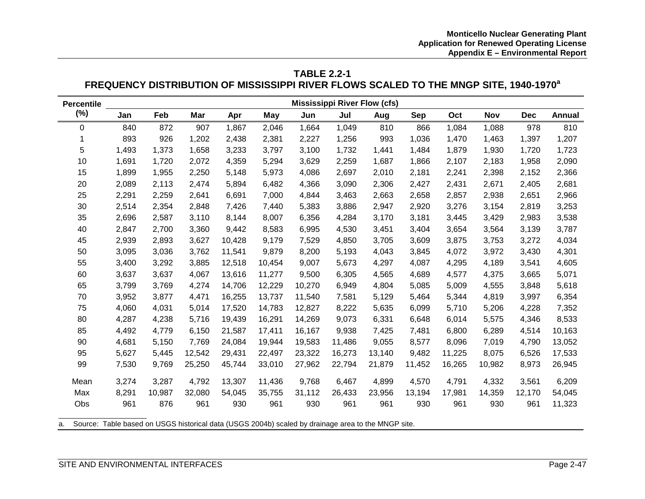# **TABLE 2.2-1** FREQUENCY DISTRIBUTION OF MISSISSIPPI RIVER FLOWS SCALED TO THE MNGP SITE, 1940-1970<sup>a</sup>

| <b>Percentile</b> | <b>Mississippi River Flow (cfs)</b> |        |        |        |        |        |        |        |            |        |            |            |        |
|-------------------|-------------------------------------|--------|--------|--------|--------|--------|--------|--------|------------|--------|------------|------------|--------|
| $(\%)$            | Jan                                 | Feb    | Mar    | Apr    | May    | Jun    | Jul    | Aug    | <b>Sep</b> | Oct    | <b>Nov</b> | <b>Dec</b> | Annual |
| 0                 | 840                                 | 872    | 907    | 1,867  | 2,046  | 1,664  | 1,049  | 810    | 866        | 1,084  | 1,088      | 978        | 810    |
| 1                 | 893                                 | 926    | 1,202  | 2,438  | 2,381  | 2,227  | 1,256  | 993    | 1,036      | 1,470  | 1,463      | 1,397      | 1,207  |
| 5                 | 1,493                               | 1,373  | 1,658  | 3,233  | 3,797  | 3,100  | 1,732  | 1,441  | 1,484      | 1,879  | 1,930      | 1,720      | 1,723  |
| 10                | 1,691                               | 1,720  | 2,072  | 4,359  | 5,294  | 3,629  | 2,259  | 1,687  | 1,866      | 2,107  | 2,183      | 1,958      | 2,090  |
| 15                | 1,899                               | 1,955  | 2,250  | 5,148  | 5,973  | 4,086  | 2,697  | 2,010  | 2,181      | 2,241  | 2,398      | 2,152      | 2,366  |
| 20                | 2,089                               | 2,113  | 2,474  | 5,894  | 6,482  | 4,366  | 3,090  | 2,306  | 2,427      | 2,431  | 2,671      | 2,405      | 2,681  |
| 25                | 2,291                               | 2,259  | 2,641  | 6,691  | 7,000  | 4,844  | 3,463  | 2,663  | 2,658      | 2,857  | 2,938      | 2,651      | 2,966  |
| 30                | 2,514                               | 2,354  | 2,848  | 7,426  | 7,440  | 5,383  | 3,886  | 2,947  | 2,920      | 3,276  | 3,154      | 2,819      | 3,253  |
| 35                | 2,696                               | 2,587  | 3,110  | 8,144  | 8,007  | 6,356  | 4,284  | 3,170  | 3,181      | 3,445  | 3,429      | 2,983      | 3,538  |
| 40                | 2,847                               | 2,700  | 3,360  | 9,442  | 8,583  | 6,995  | 4,530  | 3,451  | 3,404      | 3,654  | 3,564      | 3,139      | 3,787  |
| 45                | 2,939                               | 2,893  | 3,627  | 10,428 | 9,179  | 7,529  | 4,850  | 3,705  | 3,609      | 3,875  | 3,753      | 3,272      | 4,034  |
| 50                | 3,095                               | 3,036  | 3,762  | 11,541 | 9,879  | 8,200  | 5,193  | 4,043  | 3,845      | 4,072  | 3,972      | 3,430      | 4,301  |
| 55                | 3,400                               | 3,292  | 3,885  | 12,518 | 10,454 | 9,007  | 5,673  | 4,297  | 4,087      | 4,295  | 4,189      | 3,541      | 4,605  |
| 60                | 3,637                               | 3,637  | 4,067  | 13,616 | 11,277 | 9,500  | 6,305  | 4,565  | 4,689      | 4,577  | 4,375      | 3,665      | 5,071  |
| 65                | 3,799                               | 3,769  | 4,274  | 14,706 | 12,229 | 10,270 | 6,949  | 4,804  | 5,085      | 5,009  | 4,555      | 3,848      | 5,618  |
| 70                | 3,952                               | 3,877  | 4,471  | 16,255 | 13,737 | 11,540 | 7,581  | 5,129  | 5,464      | 5,344  | 4,819      | 3,997      | 6,354  |
| 75                | 4,060                               | 4,031  | 5,014  | 17,520 | 14,783 | 12,827 | 8,222  | 5,635  | 6,099      | 5,710  | 5,206      | 4,228      | 7,352  |
| 80                | 4,287                               | 4,238  | 5,716  | 19,439 | 16,291 | 14,269 | 9,073  | 6,331  | 6,648      | 6,014  | 5,575      | 4,346      | 8,533  |
| 85                | 4,492                               | 4,779  | 6,150  | 21,587 | 17,411 | 16,167 | 9,938  | 7,425  | 7,481      | 6,800  | 6,289      | 4,514      | 10,163 |
| 90                | 4,681                               | 5,150  | 7,769  | 24,084 | 19,944 | 19,583 | 11,486 | 9,055  | 8,577      | 8,096  | 7,019      | 4,790      | 13,052 |
| 95                | 5,627                               | 5,445  | 12,542 | 29,431 | 22,497 | 23,322 | 16,273 | 13,140 | 9,482      | 11,225 | 8,075      | 6,526      | 17,533 |
| 99                | 7,530                               | 9,769  | 25,250 | 45,744 | 33,010 | 27,962 | 22,794 | 21,879 | 11,452     | 16,265 | 10,982     | 8,973      | 26,945 |
| Mean              | 3,274                               | 3,287  | 4,792  | 13,307 | 11,436 | 9,768  | 6,467  | 4,899  | 4,570      | 4,791  | 4,332      | 3,561      | 6,209  |
| Max               | 8,291                               | 10,987 | 32,080 | 54,045 | 35,755 | 31,112 | 26,433 | 23,956 | 13,194     | 17,981 | 14,359     | 12,170     | 54,045 |
| Obs               | 961                                 | 876    | 961    | 930    | 961    | 930    | 961    | 961    | 930        | 961    | 930        | 961        | 11,323 |

a. Source: Table based on USGS historical data (USGS 2004b) scaled by drainage area to the MNGP site.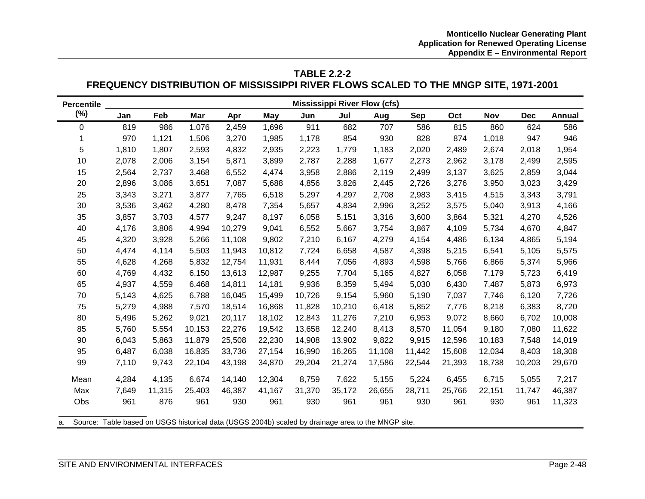# **TABLE 2.2-2 FREQUENCY DISTRIBUTION OF MISSISSIPPI RIVER FLOWS SCALED TO THE MNGP SITE, 1971-2001**

| <b>Percentile</b> | <b>Mississippi River Flow (cfs)</b> |        |        |        |            |        |        |        |        |        |        |            |               |
|-------------------|-------------------------------------|--------|--------|--------|------------|--------|--------|--------|--------|--------|--------|------------|---------------|
| $(\%)$            | Jan                                 | Feb    | Mar    | Apr    | <b>May</b> | Jun    | Jul    | Aug    | Sep    | Oct    | Nov    | <b>Dec</b> | <b>Annual</b> |
| 0                 | 819                                 | 986    | 1,076  | 2,459  | 1,696      | 911    | 682    | 707    | 586    | 815    | 860    | 624        | 586           |
| 1                 | 970                                 | 1,121  | 1,506  | 3,270  | 1,985      | 1,178  | 854    | 930    | 828    | 874    | 1,018  | 947        | 946           |
| 5                 | 1,810                               | 1,807  | 2,593  | 4,832  | 2,935      | 2,223  | 1,779  | 1,183  | 2,020  | 2,489  | 2,674  | 2,018      | 1,954         |
| 10                | 2,078                               | 2,006  | 3,154  | 5,871  | 3,899      | 2,787  | 2,288  | 1,677  | 2,273  | 2,962  | 3,178  | 2,499      | 2,595         |
| 15                | 2,564                               | 2,737  | 3,468  | 6,552  | 4,474      | 3,958  | 2,886  | 2,119  | 2,499  | 3,137  | 3,625  | 2,859      | 3,044         |
| 20                | 2,896                               | 3,086  | 3,651  | 7,087  | 5,688      | 4,856  | 3,826  | 2,445  | 2,726  | 3,276  | 3,950  | 3,023      | 3,429         |
| 25                | 3,343                               | 3,271  | 3,877  | 7,765  | 6,518      | 5,297  | 4,297  | 2,708  | 2,983  | 3,415  | 4,515  | 3,343      | 3,791         |
| 30                | 3,536                               | 3,462  | 4,280  | 8,478  | 7,354      | 5,657  | 4,834  | 2,996  | 3,252  | 3,575  | 5,040  | 3,913      | 4,166         |
| 35                | 3,857                               | 3,703  | 4,577  | 9,247  | 8,197      | 6,058  | 5,151  | 3,316  | 3,600  | 3,864  | 5,321  | 4,270      | 4,526         |
| 40                | 4,176                               | 3,806  | 4,994  | 10,279 | 9,041      | 6,552  | 5,667  | 3,754  | 3,867  | 4,109  | 5,734  | 4,670      | 4,847         |
| 45                | 4,320                               | 3,928  | 5,266  | 11,108 | 9,802      | 7,210  | 6,167  | 4,279  | 4,154  | 4,486  | 6,134  | 4,865      | 5,194         |
| 50                | 4,474                               | 4,114  | 5,503  | 11,943 | 10,812     | 7,724  | 6,658  | 4,587  | 4,398  | 5,215  | 6,541  | 5,105      | 5,575         |
| 55                | 4,628                               | 4,268  | 5,832  | 12,754 | 11,931     | 8,444  | 7,056  | 4,893  | 4,598  | 5,766  | 6,866  | 5,374      | 5,966         |
| 60                | 4,769                               | 4,432  | 6,150  | 13,613 | 12,987     | 9,255  | 7,704  | 5,165  | 4,827  | 6,058  | 7,179  | 5,723      | 6,419         |
| 65                | 4,937                               | 4,559  | 6,468  | 14,811 | 14,181     | 9,936  | 8,359  | 5,494  | 5,030  | 6,430  | 7,487  | 5,873      | 6,973         |
| 70                | 5,143                               | 4,625  | 6,788  | 16,045 | 15,499     | 10,726 | 9,154  | 5,960  | 5,190  | 7,037  | 7,746  | 6,120      | 7,726         |
| 75                | 5,279                               | 4,988  | 7,570  | 18,514 | 16,868     | 11,828 | 10,210 | 6,418  | 5,852  | 7,776  | 8,218  | 6,383      | 8,720         |
| 80                | 5,496                               | 5,262  | 9,021  | 20,117 | 18,102     | 12,843 | 11,276 | 7,210  | 6,953  | 9,072  | 8,660  | 6,702      | 10,008        |
| 85                | 5,760                               | 5,554  | 10,153 | 22,276 | 19,542     | 13,658 | 12,240 | 8,413  | 8,570  | 11,054 | 9,180  | 7,080      | 11,622        |
| 90                | 6,043                               | 5,863  | 11,879 | 25,508 | 22,230     | 14,908 | 13,902 | 9,822  | 9,915  | 12,596 | 10,183 | 7,548      | 14,019        |
| 95                | 6,487                               | 6,038  | 16,835 | 33,736 | 27,154     | 16,990 | 16,265 | 11,108 | 11,442 | 15,608 | 12,034 | 8,403      | 18,308        |
| 99                | 7,110                               | 9,743  | 22,104 | 43,198 | 34,870     | 29,204 | 21,274 | 17,586 | 22,544 | 21,393 | 18,738 | 10,203     | 29,670        |
| Mean              | 4,284                               | 4,135  | 6,674  | 14,140 | 12,304     | 8,759  | 7,622  | 5,155  | 5,224  | 6,455  | 6,715  | 5,055      | 7,217         |
| Max               | 7,649                               | 11,315 | 25,403 | 46,387 | 41,167     | 31,370 | 35,172 | 26,655 | 28,711 | 25,766 | 22,151 | 11,747     | 46,387        |
| Obs               | 961                                 | 876    | 961    | 930    | 961        | 930    | 961    | 961    | 930    | 961    | 930    | 961        | 11,323        |

a. Source: Table based on USGS historical data (USGS 2004b) scaled by drainage area to the MNGP site.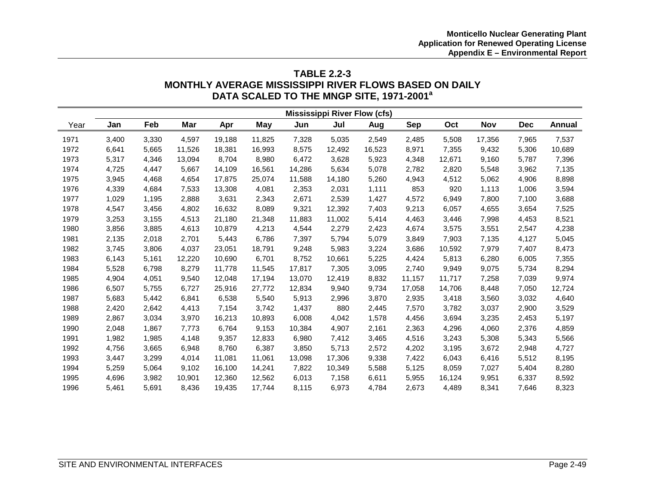# **TABLE 2.2-3 MONTHLY AVERAGE MISSISSIPPI RIVER FLOWS BASED ON DAILY DATA SCALED TO THE MNGP SITE, 1971-2001a**

|      | <b>Mississippi River Flow (cfs)</b> |       |        |        |        |        |        |        |            |        |            |            |        |
|------|-------------------------------------|-------|--------|--------|--------|--------|--------|--------|------------|--------|------------|------------|--------|
| Year | Jan                                 | Feb   | Mar    | Apr    | May    | Jun    | Jul    | Aug    | <b>Sep</b> | Oct    | <b>Nov</b> | <b>Dec</b> | Annual |
| 1971 | 3,400                               | 3,330 | 4,597  | 19,188 | 11,825 | 7,328  | 5,035  | 2,549  | 2,485      | 5,508  | 17,356     | 7,965      | 7,537  |
| 1972 | 6,641                               | 5,665 | 11,526 | 18,381 | 16,993 | 8,575  | 12,492 | 16,523 | 8,971      | 7,355  | 9,432      | 5,306      | 10,689 |
| 1973 | 5,317                               | 4,346 | 13,094 | 8,704  | 8,980  | 6,472  | 3,628  | 5,923  | 4,348      | 12,671 | 9,160      | 5,787      | 7,396  |
| 1974 | 4,725                               | 4,447 | 5,667  | 14,109 | 16,561 | 14,286 | 5,634  | 5,078  | 2,782      | 2,820  | 5,548      | 3,962      | 7,135  |
| 1975 | 3,945                               | 4,468 | 4,654  | 17,875 | 25,074 | 11,588 | 14,180 | 5,260  | 4,943      | 4,512  | 5,062      | 4,906      | 8,898  |
| 1976 | 4,339                               | 4,684 | 7,533  | 13,308 | 4,081  | 2,353  | 2,031  | 1,111  | 853        | 920    | 1,113      | 1,006      | 3,594  |
| 1977 | 1,029                               | 1,195 | 2,888  | 3,631  | 2,343  | 2,671  | 2,539  | 1,427  | 4,572      | 6,949  | 7,800      | 7,100      | 3,688  |
| 1978 | 4,547                               | 3,456 | 4,802  | 16,632 | 8,089  | 9,321  | 12,392 | 7,403  | 9,213      | 6,057  | 4,655      | 3,654      | 7,525  |
| 1979 | 3,253                               | 3,155 | 4,513  | 21,180 | 21,348 | 11,883 | 11,002 | 5,414  | 4,463      | 3,446  | 7,998      | 4,453      | 8,521  |
| 1980 | 3,856                               | 3,885 | 4,613  | 10,879 | 4,213  | 4,544  | 2,279  | 2,423  | 4,674      | 3,575  | 3,551      | 2,547      | 4,238  |
| 1981 | 2,135                               | 2,018 | 2,701  | 5,443  | 6,786  | 7,397  | 5,794  | 5,079  | 3,849      | 7,903  | 7,135      | 4,127      | 5,045  |
| 1982 | 3,745                               | 3,806 | 4,037  | 23,051 | 18,791 | 9,248  | 5,983  | 3,224  | 3,686      | 10,592 | 7,979      | 7,407      | 8,473  |
| 1983 | 6,143                               | 5,161 | 12,220 | 10,690 | 6,701  | 8,752  | 10,661 | 5,225  | 4,424      | 5,813  | 6,280      | 6,005      | 7,355  |
| 1984 | 5,528                               | 6,798 | 8,279  | 11,778 | 11,545 | 17,817 | 7,305  | 3,095  | 2,740      | 9,949  | 9,075      | 5,734      | 8,294  |
| 1985 | 4,904                               | 4,051 | 9,540  | 12,048 | 17,194 | 13,070 | 12,419 | 8,832  | 11,157     | 11,717 | 7,258      | 7,039      | 9,974  |
| 1986 | 6,507                               | 5,755 | 6,727  | 25,916 | 27,772 | 12,834 | 9,940  | 9,734  | 17,058     | 14,706 | 8,448      | 7,050      | 12,724 |
| 1987 | 5,683                               | 5,442 | 6,841  | 6,538  | 5,540  | 5,913  | 2,996  | 3,870  | 2,935      | 3,418  | 3,560      | 3,032      | 4,640  |
| 1988 | 2,420                               | 2,642 | 4,413  | 7,154  | 3,742  | 1,437  | 880    | 2,445  | 7,570      | 3,782  | 3,037      | 2,900      | 3,529  |
| 1989 | 2,867                               | 3,034 | 3,970  | 16,213 | 10,893 | 6,008  | 4,042  | 1,578  | 4,456      | 3,694  | 3,235      | 2,453      | 5,197  |
| 1990 | 2,048                               | 1,867 | 7,773  | 6,764  | 9,153  | 10,384 | 4,907  | 2,161  | 2,363      | 4,296  | 4,060      | 2,376      | 4,859  |
| 1991 | 1,982                               | 1,985 | 4,148  | 9,357  | 12,833 | 6,980  | 7,412  | 3,465  | 4,516      | 3,243  | 5,308      | 5,343      | 5,566  |
| 1992 | 4,756                               | 3,665 | 6,948  | 8,760  | 6,387  | 3,850  | 5,713  | 2,572  | 4,202      | 3,195  | 3,672      | 2,948      | 4,727  |
| 1993 | 3,447                               | 3,299 | 4,014  | 11,081 | 11,061 | 13,098 | 17,306 | 9,338  | 7,422      | 6,043  | 6,416      | 5,512      | 8,195  |
| 1994 | 5,259                               | 5,064 | 9,102  | 16,100 | 14,241 | 7,822  | 10,349 | 5,588  | 5,125      | 8,059  | 7,027      | 5,404      | 8,280  |
| 1995 | 4,696                               | 3,982 | 10,901 | 12,360 | 12,562 | 6,013  | 7,158  | 6,611  | 5,955      | 16,124 | 9,951      | 6,337      | 8,592  |
| 1996 | 5,461                               | 5.691 | 8,436  | 19.435 | 17.744 | 8,115  | 6.973  | 4.784  | 2,673      | 4,489  | 8,341      | 7.646      | 8,323  |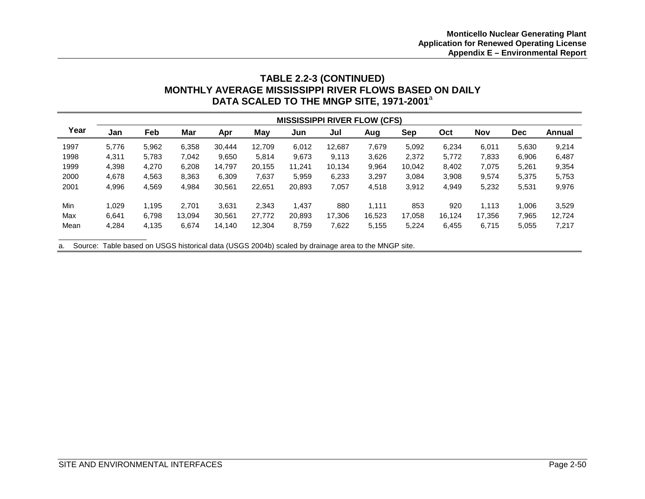# **TABLE 2.2-3 (CONTINUED) MONTHLY AVERAGE MISSISSIPPI RIVER FLOWS BASED ON DAILY DATA SCALED TO THE MNGP SITE, 1971-2001**<sup>a</sup>

|      | <b>MISSISSIPPI RIVER FLOW (CFS)</b> |       |        |        |        |        |        |        |        |        |            |            |               |
|------|-------------------------------------|-------|--------|--------|--------|--------|--------|--------|--------|--------|------------|------------|---------------|
| Year | Jan                                 | Feb   | Mar    | Apr    | May    | Jun    | Jul    | Aug    | Sep    | Oct    | <b>Nov</b> | <b>Dec</b> | <b>Annual</b> |
| 1997 | 5.776                               | 5,962 | 6,358  | 30.444 | 12,709 | 6,012  | 12.687 | 7,679  | 5,092  | 6,234  | 6,011      | 5,630      | 9,214         |
| 1998 | 4,311                               | 5.783 | 7,042  | 9.650  | 5,814  | 9,673  | 9.113  | 3,626  | 2,372  | 5,772  | 7,833      | 6,906      | 6,487         |
| 1999 | 4,398                               | 4,270 | 6,208  | 14,797 | 20,155 | 11.241 | 10,134 | 9,964  | 10,042 | 8,402  | 7,075      | 5,261      | 9,354         |
| 2000 | 4,678                               | 4,563 | 8,363  | 6,309  | 7,637  | 5,959  | 6,233  | 3,297  | 3,084  | 3,908  | 9,574      | 5,375      | 5,753         |
| 2001 | 4,996                               | 4,569 | 4,984  | 30,561 | 22,651 | 20,893 | 7,057  | 4,518  | 3,912  | 4,949  | 5,232      | 5,531      | 9,976         |
| Min  | 1.029                               | 1,195 | 2.701  | 3.631  | 2,343  | 1,437  | 880    | 1.111  | 853    | 920    | 1,113      | 1.006      | 3,529         |
| Max  | 6.641                               | 6,798 | 13,094 | 30,561 | 27,772 | 20,893 | 17,306 | 16,523 | 17,058 | 16,124 | 17,356     | 7,965      | 12,724        |
| Mean | 4,284                               | 4,135 | 6,674  | 14,140 | 12,304 | 8,759  | 7,622  | 5,155  | 5,224  | 6,455  | 6,715      | 5,055      | 7,217         |

a. Source: Table based on USGS historical data (USGS 2004b) scaled by drainage area to the MNGP site.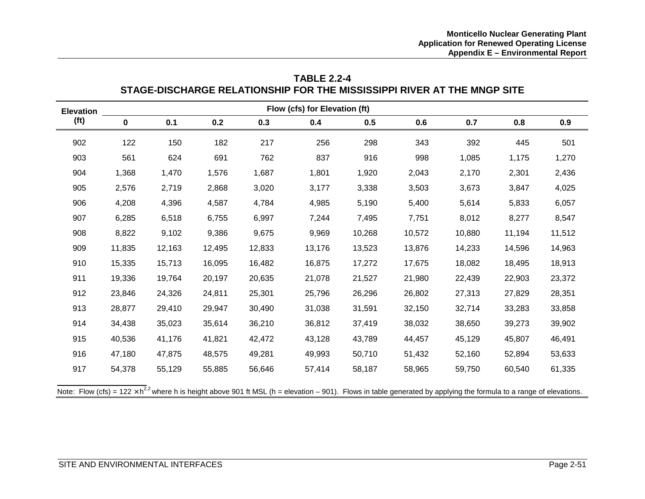| Flow (cfs) for Elevation (ft)<br><b>Elevation</b> |             |        |        |        |        |        |        |        |        |        |  |  |  |
|---------------------------------------------------|-------------|--------|--------|--------|--------|--------|--------|--------|--------|--------|--|--|--|
| (f <sup>t</sup> )                                 | $\mathbf 0$ | 0.1    | 0.2    | 0.3    | 0.4    | 0.5    | 0.6    | 0.7    | 0.8    | 0.9    |  |  |  |
| 902                                               | 122         | 150    | 182    | 217    | 256    | 298    | 343    | 392    | 445    | 501    |  |  |  |
| 903                                               | 561         | 624    | 691    | 762    | 837    | 916    | 998    | 1,085  | 1,175  | 1,270  |  |  |  |
| 904                                               | 1,368       | 1,470  | 1,576  | 1,687  | 1,801  | 1,920  | 2,043  | 2,170  | 2,301  | 2,436  |  |  |  |
| 905                                               | 2,576       | 2,719  | 2,868  | 3,020  | 3,177  | 3,338  | 3,503  | 3,673  | 3,847  | 4,025  |  |  |  |
| 906                                               | 4,208       | 4,396  | 4,587  | 4,784  | 4,985  | 5,190  | 5,400  | 5,614  | 5,833  | 6,057  |  |  |  |
| 907                                               | 6,285       | 6,518  | 6,755  | 6,997  | 7,244  | 7,495  | 7,751  | 8,012  | 8,277  | 8,547  |  |  |  |
| 908                                               | 8,822       | 9,102  | 9,386  | 9,675  | 9,969  | 10,268 | 10,572 | 10,880 | 11,194 | 11,512 |  |  |  |
| 909                                               | 11,835      | 12,163 | 12,495 | 12,833 | 13,176 | 13,523 | 13,876 | 14,233 | 14,596 | 14,963 |  |  |  |
| 910                                               | 15,335      | 15,713 | 16,095 | 16,482 | 16,875 | 17,272 | 17,675 | 18,082 | 18,495 | 18,913 |  |  |  |
| 911                                               | 19,336      | 19,764 | 20,197 | 20,635 | 21,078 | 21,527 | 21,980 | 22,439 | 22,903 | 23,372 |  |  |  |
| 912                                               | 23,846      | 24,326 | 24,811 | 25,301 | 25,796 | 26,296 | 26,802 | 27,313 | 27,829 | 28,351 |  |  |  |
| 913                                               | 28,877      | 29,410 | 29,947 | 30,490 | 31,038 | 31,591 | 32,150 | 32,714 | 33,283 | 33,858 |  |  |  |
| 914                                               | 34,438      | 35,023 | 35,614 | 36,210 | 36,812 | 37,419 | 38,032 | 38,650 | 39,273 | 39,902 |  |  |  |
| 915                                               | 40,536      | 41,176 | 41,821 | 42,472 | 43,128 | 43,789 | 44,457 | 45,129 | 45,807 | 46,491 |  |  |  |
| 916                                               | 47,180      | 47,875 | 48,575 | 49,281 | 49,993 | 50,710 | 51,432 | 52,160 | 52,894 | 53,633 |  |  |  |
| 917                                               | 54,378      | 55,129 | 55,885 | 56,646 | 57,414 | 58,187 | 58,965 | 59,750 | 60,540 | 61,335 |  |  |  |

# **TABLE 2.2-4 STAGE-DISCHARGE RELATIONSHIP FOR THE MISSISSIPPI RIVER AT THE MNGP SITE**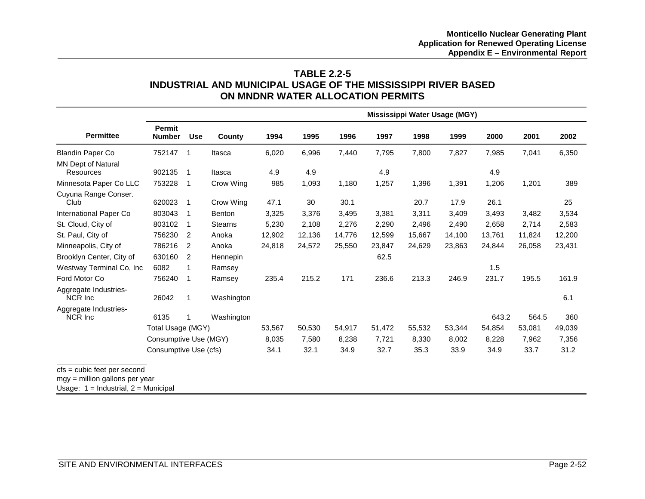### **TABLE 2.2-5 INDUSTRIAL AND MUNICIPAL USAGE OF THE MISSISSIPPI RIVER BASED ON MNDNR WATER ALLOCATION PERMITS**

|                                                                                                             |                                |                          |                |        |        |        |        | Mississippi Water Usage (MGY) |        |        |        |        |
|-------------------------------------------------------------------------------------------------------------|--------------------------------|--------------------------|----------------|--------|--------|--------|--------|-------------------------------|--------|--------|--------|--------|
| <b>Permittee</b>                                                                                            | <b>Permit</b><br><b>Number</b> | <b>Use</b>               | County         | 1994   | 1995   | 1996   | 1997   | 1998                          | 1999   | 2000   | 2001   | 2002   |
| <b>Blandin Paper Co</b>                                                                                     | 752147 1                       |                          | Itasca         | 6,020  | 6,996  | 7,440  | 7,795  | 7,800                         | 7,827  | 7,985  | 7,041  | 6,350  |
| <b>MN Dept of Natural</b><br><b>Resources</b>                                                               | 902135                         | -1                       | Itasca         | 4.9    | 4.9    |        | 4.9    |                               |        | 4.9    |        |        |
| Minnesota Paper Co LLC                                                                                      | 753228                         | $\overline{\phantom{0}}$ | Crow Wing      | 985    | 1,093  | 1,180  | 1,257  | 1,396                         | 1,391  | 1,206  | 1,201  | 389    |
| Cuyuna Range Conser.<br>Club                                                                                | 620023                         | $\overline{1}$           | Crow Wing      | 47.1   | 30     | 30.1   |        | 20.7                          | 17.9   | 26.1   |        | 25     |
| International Paper Co                                                                                      | 803043                         | 1                        | Benton         | 3,325  | 3,376  | 3,495  | 3,381  | 3,311                         | 3,409  | 3,493  | 3,482  | 3,534  |
| St. Cloud, City of                                                                                          | 803102                         | 1                        | <b>Stearns</b> | 5,230  | 2.108  | 2,276  | 2,290  | 2.496                         | 2,490  | 2.658  | 2,714  | 2,583  |
| St. Paul, City of                                                                                           | 756230                         | 2                        | Anoka          | 12,902 | 12,136 | 14,776 | 12,599 | 15,667                        | 14,100 | 13,761 | 11,824 | 12,200 |
| Minneapolis, City of                                                                                        | 786216                         | 2                        | Anoka          | 24,818 | 24,572 | 25,550 | 23,847 | 24,629                        | 23,863 | 24,844 | 26,058 | 23,431 |
| Brooklyn Center, City of                                                                                    | 630160                         | 2                        | Hennepin       |        |        |        | 62.5   |                               |        |        |        |        |
| Westway Terminal Co, Inc.                                                                                   | 6082                           | 1                        | Ramsey         |        |        |        |        |                               |        | 1.5    |        |        |
| Ford Motor Co                                                                                               | 756240                         | 1                        | Ramsey         | 235.4  | 215.2  | 171    | 236.6  | 213.3                         | 246.9  | 231.7  | 195.5  | 161.9  |
| Aggregate Industries-<br>NCR Inc                                                                            | 26042                          | 1                        | Washington     |        |        |        |        |                               |        |        |        | 6.1    |
| Aggregate Industries-<br>NCR Inc                                                                            | 6135                           |                          | Washington     |        |        |        |        |                               |        | 643.2  | 564.5  | 360    |
|                                                                                                             | Total Usage (MGY)              |                          |                | 53,567 | 50,530 | 54,917 | 51,472 | 55,532                        | 53,344 | 54,854 | 53,081 | 49,039 |
|                                                                                                             | Consumptive Use (MGY)          |                          |                | 8,035  | 7,580  | 8,238  | 7,721  | 8,330                         | 8,002  | 8,228  | 7,962  | 7,356  |
|                                                                                                             | Consumptive Use (cfs)          |                          |                | 34.1   | 32.1   | 34.9   | 32.7   | 35.3                          | 33.9   | 34.9   | 33.7   | 31.2   |
| $cfs = cubic feet per second$<br>mgy = million gallons per year<br>Usage: $1 =$ Industrial, $2 =$ Municipal |                                |                          |                |        |        |        |        |                               |        |        |        |        |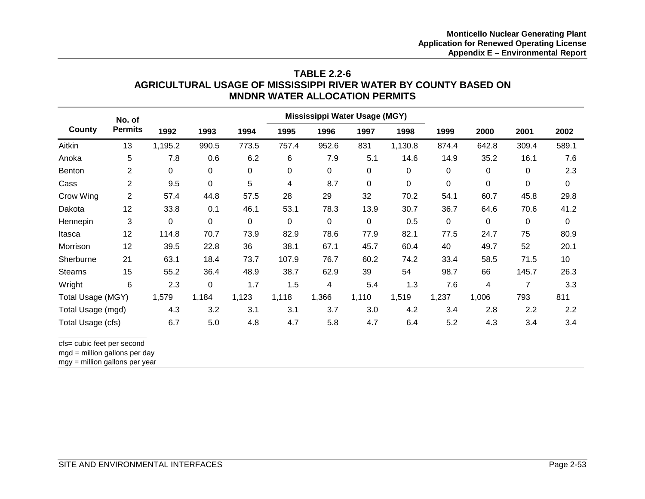### **TABLE 2.2-6 AGRICULTURAL USAGE OF MISSISSIPPI RIVER WATER BY COUNTY BASED ON MNDNR WATER ALLOCATION PERMITS**

|                            | No. of                  |             |             |           |       | Mississippi Water Usage (MGY) |           |         |             |           |       |       |
|----------------------------|-------------------------|-------------|-------------|-----------|-------|-------------------------------|-----------|---------|-------------|-----------|-------|-------|
| County                     | <b>Permits</b>          | 1992        | 1993        | 1994      | 1995  | 1996                          | 1997      | 1998    | 1999        | 2000      | 2001  | 2002  |
| Aitkin                     | 13                      | 1,195.2     | 990.5       | 773.5     | 757.4 | 952.6                         | 831       | 1,130.8 | 874.4       | 642.8     | 309.4 | 589.1 |
| Anoka                      | 5                       | 7.8         | 0.6         | 6.2       | 6     | 7.9                           | 5.1       | 14.6    | 14.9        | 35.2      | 16.1  | 7.6   |
| Benton                     | $\overline{\mathbf{c}}$ | $\mathbf 0$ | $\mathbf 0$ | 0         | 0     | 0                             | $\pmb{0}$ | 0       | $\mathbf 0$ | 0         | 0     | 2.3   |
| Cass                       | $\overline{c}$          | 9.5         | $\pmb{0}$   | 5         | 4     | 8.7                           | $\pmb{0}$ | 0       | $\mathbf 0$ | $\pmb{0}$ | 0     | 0     |
| Crow Wing                  | $\overline{2}$          | 57.4        | 44.8        | 57.5      | 28    | 29                            | 32        | 70.2    | 54.1        | 60.7      | 45.8  | 29.8  |
| Dakota                     | 12                      | 33.8        | 0.1         | 46.1      | 53.1  | 78.3                          | 13.9      | 30.7    | 36.7        | 64.6      | 70.6  | 41.2  |
| Hennepin                   | 3                       | 0           | $\mathbf 0$ | $\pmb{0}$ | 0     | $\mathbf 0$                   | $\pmb{0}$ | 0.5     | $\mathbf 0$ | 0         | 0     | 0     |
| Itasca                     | 12                      | 114.8       | 70.7        | 73.9      | 82.9  | 78.6                          | 77.9      | 82.1    | 77.5        | 24.7      | 75    | 80.9  |
| Morrison                   | 12                      | 39.5        | 22.8        | 36        | 38.1  | 67.1                          | 45.7      | 60.4    | 40          | 49.7      | 52    | 20.1  |
| Sherburne                  | 21                      | 63.1        | 18.4        | 73.7      | 107.9 | 76.7                          | 60.2      | 74.2    | 33.4        | 58.5      | 71.5  | 10    |
| <b>Stearns</b>             | 15                      | 55.2        | 36.4        | 48.9      | 38.7  | 62.9                          | 39        | 54      | 98.7        | 66        | 145.7 | 26.3  |
| Wright                     | 6                       | 2.3         | 0           | 1.7       | 1.5   | 4                             | 5.4       | 1.3     | 7.6         | 4         | 7     | 3.3   |
| Total Usage (MGY)          |                         | 1,579       | 1,184       | 1,123     | 1,118 | 1,366                         | 1,110     | 1,519   | 1,237       | 1,006     | 793   | 811   |
| Total Usage (mgd)          |                         | 4.3         | 3.2         | 3.1       | 3.1   | 3.7                           | 3.0       | 4.2     | 3.4         | 2.8       | 2.2   | 2.2   |
| Total Usage (cfs)          |                         | 6.7         | 5.0         | 4.8       | 4.7   | 5.8                           | 4.7       | 6.4     | 5.2         | 4.3       | 3.4   | 3.4   |
| cfs= cubic feet per second |                         |             |             |           |       |                               |           |         |             |           |       |       |

cfs= cubic feet per second

mgd = million gallons per day

mgy = million gallons per year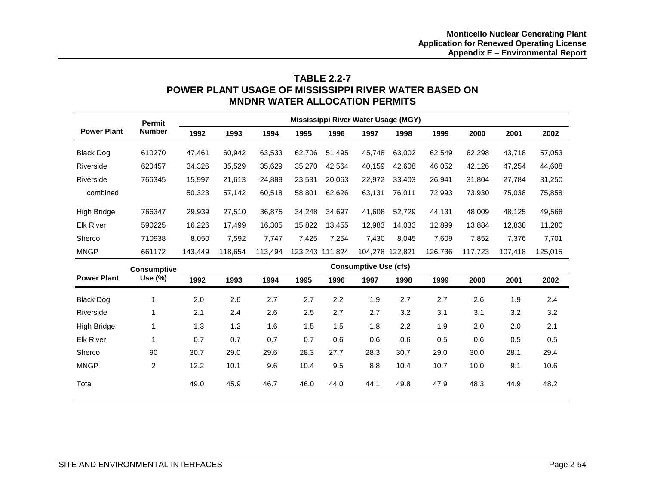# **TABLE 2.2-7 POWER PLANT USAGE OF MISSISSIPPI RIVER WATER BASED ON MNDNR WATER ALLOCATION PERMITS**

|                    | <b>Permit</b>      |         |                              |         |        |                 | Mississippi River Water Usage (MGY) |                 |         |         |         |         |
|--------------------|--------------------|---------|------------------------------|---------|--------|-----------------|-------------------------------------|-----------------|---------|---------|---------|---------|
| <b>Power Plant</b> | <b>Number</b>      | 1992    | 1993                         | 1994    | 1995   | 1996            | 1997                                | 1998            | 1999    | 2000    | 2001    | 2002    |
| <b>Black Dog</b>   | 610270             | 47,461  | 60,942                       | 63,533  | 62,706 | 51,495          | 45,748                              | 63.002          | 62,549  | 62,298  | 43,718  | 57,053  |
| Riverside          | 620457             | 34,326  | 35,529                       | 35,629  | 35,270 | 42,564          | 40,159                              | 42,608          | 46,052  | 42,126  | 47,254  | 44,608  |
| Riverside          | 766345             | 15,997  | 21,613                       | 24,889  | 23,531 | 20,063          | 22,972                              | 33,403          | 26,941  | 31,804  | 27,784  | 31,250  |
| combined           |                    | 50,323  | 57,142                       | 60,518  | 58,801 | 62,626          | 63,131                              | 76,011          | 72,993  | 73,930  | 75,038  | 75,858  |
| High Bridge        | 766347             | 29,939  | 27,510                       | 36,875  | 34,248 | 34,697          | 41,608                              | 52,729          | 44,131  | 48,009  | 48,125  | 49,568  |
| <b>Elk River</b>   | 590225             | 16,226  | 17.499                       | 16,305  | 15,822 | 13,455          | 12,983                              | 14,033          | 12,899  | 13,884  | 12,838  | 11,280  |
| Sherco             | 710938             | 8,050   | 7,592                        | 7.747   | 7,425  | 7,254           | 7,430                               | 8.045           | 7,609   | 7,852   | 7,376   | 7,701   |
| <b>MNGP</b>        | 661172             | 143,449 | 118,654                      | 113,494 |        | 123,243 111,824 |                                     | 104,278 122,821 | 126,736 | 117,723 | 107,418 | 125,015 |
|                    | <b>Consumptive</b> |         | <b>Consumptive Use (cfs)</b> |         |        |                 |                                     |                 |         |         |         |         |
| <b>Power Plant</b> | Use (%)            | 1992    | 1993                         | 1994    | 1995   | 1996            | 1997                                | 1998            | 1999    | 2000    | 2001    | 2002    |
| <b>Black Dog</b>   | 1                  | 2.0     | 2.6                          | 2.7     | 2.7    | 2.2             | 1.9                                 | 2.7             | 2.7     | 2.6     | 1.9     | 2.4     |
| Riverside          | 1                  | 2.1     | 2.4                          | 2.6     | 2.5    | 2.7             | 2.7                                 | 3.2             | 3.1     | 3.1     | 3.2     | 3.2     |
| High Bridge        |                    | 1.3     | 1.2                          | 1.6     | 1.5    | 1.5             | 1.8                                 | 2.2             | 1.9     | 2.0     | 2.0     | 2.1     |
| <b>Elk River</b>   |                    | 0.7     | 0.7                          | 0.7     | 0.7    | 0.6             | 0.6                                 | 0.6             | 0.5     | 0.6     | 0.5     | 0.5     |
| Sherco             | 90                 | 30.7    | 29.0                         | 29.6    | 28.3   | 27.7            | 28.3                                | 30.7            | 29.0    | 30.0    | 28.1    | 29.4    |
| <b>MNGP</b>        | $\overline{2}$     | 12.2    | 10.1                         | 9.6     | 10.4   | 9.5             | 8.8                                 | 10.4            | 10.7    | 10.0    | 9.1     | 10.6    |
| Total              |                    | 49.0    | 45.9                         | 46.7    | 46.0   | 44.0            | 44.1                                | 49.8            | 47.9    | 48.3    | 44.9    | 48.2    |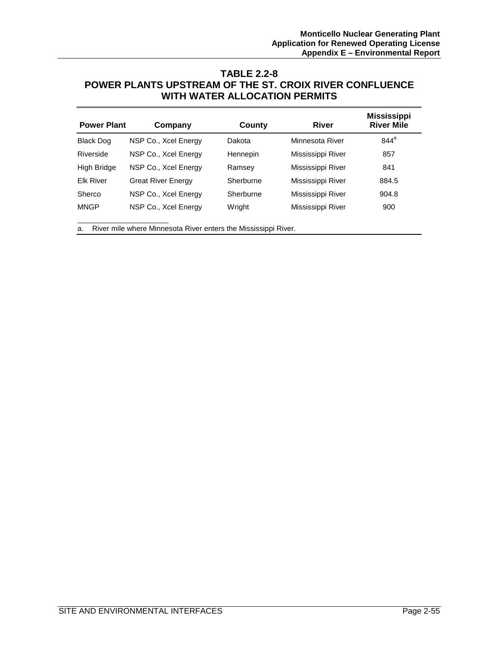## **TABLE 2.2-8 POWER PLANTS UPSTREAM OF THE ST. CROIX RIVER CONFLUENCE WITH WATER ALLOCATION PERMITS**

| <b>Power Plant</b> | Company                   | County    | <b>River</b>      | <b>Mississippi</b><br><b>River Mile</b> |
|--------------------|---------------------------|-----------|-------------------|-----------------------------------------|
| <b>Black Dog</b>   | NSP Co., Xcel Energy      | Dakota    | Minnesota River   | $844^a$                                 |
| Riverside          | NSP Co., Xcel Energy      | Hennepin  | Mississippi River | 857                                     |
| <b>High Bridge</b> | NSP Co., Xcel Energy      | Ramsey    | Mississippi River | 841                                     |
| <b>Elk River</b>   | <b>Great River Energy</b> | Sherburne | Mississippi River | 884.5                                   |
| Sherco             | NSP Co., Xcel Energy      | Sherburne | Mississippi River | 904.8                                   |
| <b>MNGP</b>        | NSP Co., Xcel Energy      | Wright    | Mississippi River | 900                                     |

a. River mile where Minnesota River enters the Mississippi River.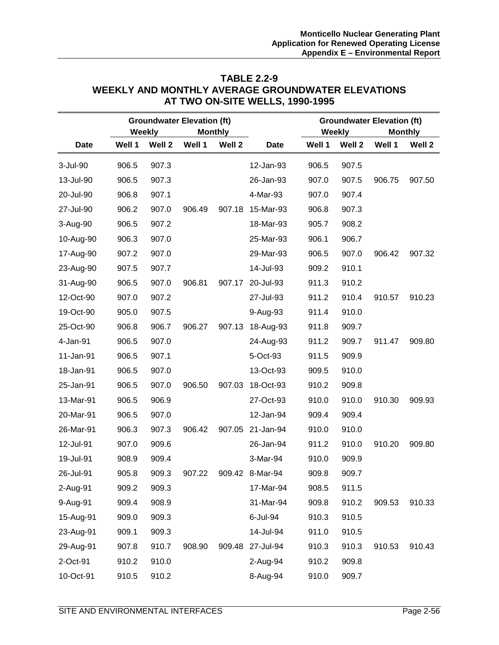### **TABLE 2.2-9 WEEKLY AND MONTHLY AVERAGE GROUNDWATER ELEVATIONS AT TWO ON-SITE WELLS, 1990-1995**

|             |        | <b>Weekly</b> | <b>Groundwater Elevation (ft)</b><br><b>Monthly</b> |        |                  |        | Weekly | <b>Groundwater Elevation (ft)</b><br><b>Monthly</b> |        |
|-------------|--------|---------------|-----------------------------------------------------|--------|------------------|--------|--------|-----------------------------------------------------|--------|
| <b>Date</b> | Well 1 | Well 2        | Well 1                                              | Well 2 | <b>Date</b>      | Well 1 | Well 2 | Well 1                                              | Well 2 |
| 3-Jul-90    | 906.5  | 907.3         |                                                     |        | 12-Jan-93        | 906.5  | 907.5  |                                                     |        |
| 13-Jul-90   | 906.5  | 907.3         |                                                     |        | 26-Jan-93        | 907.0  | 907.5  | 906.75                                              | 907.50 |
| 20-Jul-90   | 906.8  | 907.1         |                                                     |        | 4-Mar-93         | 907.0  | 907.4  |                                                     |        |
| 27-Jul-90   | 906.2  | 907.0         | 906.49                                              | 907.18 | 15-Mar-93        | 906.8  | 907.3  |                                                     |        |
| 3-Aug-90    | 906.5  | 907.2         |                                                     |        | 18-Mar-93        | 905.7  | 908.2  |                                                     |        |
| 10-Aug-90   | 906.3  | 907.0         |                                                     |        | 25-Mar-93        | 906.1  | 906.7  |                                                     |        |
| 17-Aug-90   | 907.2  | 907.0         |                                                     |        | 29-Mar-93        | 906.5  | 907.0  | 906.42                                              | 907.32 |
| 23-Aug-90   | 907.5  | 907.7         |                                                     |        | 14-Jul-93        | 909.2  | 910.1  |                                                     |        |
| 31-Aug-90   | 906.5  | 907.0         | 906.81                                              | 907.17 | 20-Jul-93        | 911.3  | 910.2  |                                                     |        |
| 12-Oct-90   | 907.0  | 907.2         |                                                     |        | 27-Jul-93        | 911.2  | 910.4  | 910.57                                              | 910.23 |
| 19-Oct-90   | 905.0  | 907.5         |                                                     |        | 9-Aug-93         | 911.4  | 910.0  |                                                     |        |
| 25-Oct-90   | 906.8  | 906.7         | 906.27                                              | 907.13 | 18-Aug-93        | 911.8  | 909.7  |                                                     |        |
| 4-Jan-91    | 906.5  | 907.0         |                                                     |        | 24-Aug-93        | 911.2  | 909.7  | 911.47                                              | 909.80 |
| 11-Jan-91   | 906.5  | 907.1         |                                                     |        | 5-Oct-93         | 911.5  | 909.9  |                                                     |        |
| 18-Jan-91   | 906.5  | 907.0         |                                                     |        | 13-Oct-93        | 909.5  | 910.0  |                                                     |        |
| 25-Jan-91   | 906.5  | 907.0         | 906.50                                              | 907.03 | 18-Oct-93        | 910.2  | 909.8  |                                                     |        |
| 13-Mar-91   | 906.5  | 906.9         |                                                     |        | 27-Oct-93        | 910.0  | 910.0  | 910.30                                              | 909.93 |
| 20-Mar-91   | 906.5  | 907.0         |                                                     |        | 12-Jan-94        | 909.4  | 909.4  |                                                     |        |
| 26-Mar-91   | 906.3  | 907.3         | 906.42                                              | 907.05 | 21-Jan-94        | 910.0  | 910.0  |                                                     |        |
| 12-Jul-91   | 907.0  | 909.6         |                                                     |        | 26-Jan-94        | 911.2  | 910.0  | 910.20                                              | 909.80 |
| 19-Jul-91   | 908.9  | 909.4         |                                                     |        | 3-Mar-94         | 910.0  | 909.9  |                                                     |        |
| 26-Jul-91   | 905.8  | 909.3         | 907.22                                              | 909.42 | 8-Mar-94         | 909.8  | 909.7  |                                                     |        |
| 2-Aug-91    | 909.2  | 909.3         |                                                     |        | 17-Mar-94        | 908.5  | 911.5  |                                                     |        |
| 9-Aug-91    | 909.4  | 908.9         |                                                     |        | 31-Mar-94        | 909.8  | 910.2  | 909.53                                              | 910.33 |
| 15-Aug-91   | 909.0  | 909.3         |                                                     |        | 6-Jul-94         | 910.3  | 910.5  |                                                     |        |
| 23-Aug-91   | 909.1  | 909.3         |                                                     |        | 14-Jul-94        | 911.0  | 910.5  |                                                     |        |
| 29-Aug-91   | 907.8  | 910.7         | 908.90                                              |        | 909.48 27-Jul-94 | 910.3  | 910.3  | 910.53                                              | 910.43 |
| 2-Oct-91    | 910.2  | 910.0         |                                                     |        | 2-Aug-94         | 910.2  | 909.8  |                                                     |        |
| 10-Oct-91   | 910.5  | 910.2         |                                                     |        | 8-Aug-94         | 910.0  | 909.7  |                                                     |        |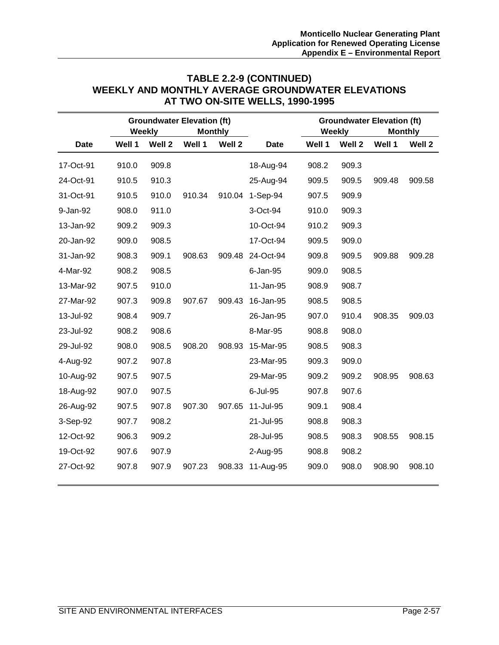# **TABLE 2.2-9 (CONTINUED) WEEKLY AND MONTHLY AVERAGE GROUNDWATER ELEVATIONS AT TWO ON-SITE WELLS, 1990-1995**

|             |        | Weekly | <b>Groundwater Elevation (ft)</b> | <b>Monthly</b> |             |        | Weekly | <b>Groundwater Elevation (ft)</b> | <b>Monthly</b> |
|-------------|--------|--------|-----------------------------------|----------------|-------------|--------|--------|-----------------------------------|----------------|
| <b>Date</b> | Well 1 | Well 2 | Well 1                            | Well 2         | <b>Date</b> | Well 1 | Well 2 | Well 1                            | Well 2         |
| 17-Oct-91   | 910.0  | 909.8  |                                   |                | 18-Aug-94   | 908.2  | 909.3  |                                   |                |
| 24-Oct-91   | 910.5  | 910.3  |                                   |                | 25-Aug-94   | 909.5  | 909.5  | 909.48                            | 909.58         |
| 31-Oct-91   | 910.5  | 910.0  | 910.34                            | 910.04         | $1-Sep-94$  | 907.5  | 909.9  |                                   |                |
| 9-Jan-92    | 908.0  | 911.0  |                                   |                | 3-Oct-94    | 910.0  | 909.3  |                                   |                |
| 13-Jan-92   | 909.2  | 909.3  |                                   |                | 10-Oct-94   | 910.2  | 909.3  |                                   |                |
| 20-Jan-92   | 909.0  | 908.5  |                                   |                | 17-Oct-94   | 909.5  | 909.0  |                                   |                |
| 31-Jan-92   | 908.3  | 909.1  | 908.63                            | 909.48         | 24-Oct-94   | 909.8  | 909.5  | 909.88                            | 909.28         |
| 4-Mar-92    | 908.2  | 908.5  |                                   |                | 6-Jan-95    | 909.0  | 908.5  |                                   |                |
| 13-Mar-92   | 907.5  | 910.0  |                                   |                | 11-Jan-95   | 908.9  | 908.7  |                                   |                |
| 27-Mar-92   | 907.3  | 909.8  | 907.67                            | 909.43         | 16-Jan-95   | 908.5  | 908.5  |                                   |                |
| 13-Jul-92   | 908.4  | 909.7  |                                   |                | 26-Jan-95   | 907.0  | 910.4  | 908.35                            | 909.03         |
| 23-Jul-92   | 908.2  | 908.6  |                                   |                | 8-Mar-95    | 908.8  | 908.0  |                                   |                |
| 29-Jul-92   | 908.0  | 908.5  | 908.20                            | 908.93         | 15-Mar-95   | 908.5  | 908.3  |                                   |                |
| 4-Aug-92    | 907.2  | 907.8  |                                   |                | 23-Mar-95   | 909.3  | 909.0  |                                   |                |
| 10-Aug-92   | 907.5  | 907.5  |                                   |                | 29-Mar-95   | 909.2  | 909.2  | 908.95                            | 908.63         |
| 18-Aug-92   | 907.0  | 907.5  |                                   |                | 6-Jul-95    | 907.8  | 907.6  |                                   |                |
| 26-Aug-92   | 907.5  | 907.8  | 907.30                            | 907.65         | 11-Jul-95   | 909.1  | 908.4  |                                   |                |
| 3-Sep-92    | 907.7  | 908.2  |                                   |                | 21-Jul-95   | 908.8  | 908.3  |                                   |                |
| 12-Oct-92   | 906.3  | 909.2  |                                   |                | 28-Jul-95   | 908.5  | 908.3  | 908.55                            | 908.15         |
| 19-Oct-92   | 907.6  | 907.9  |                                   |                | 2-Aug-95    | 908.8  | 908.2  |                                   |                |
| 27-Oct-92   | 907.8  | 907.9  | 907.23                            | 908.33         | 11-Aug-95   | 909.0  | 908.0  | 908.90                            | 908.10         |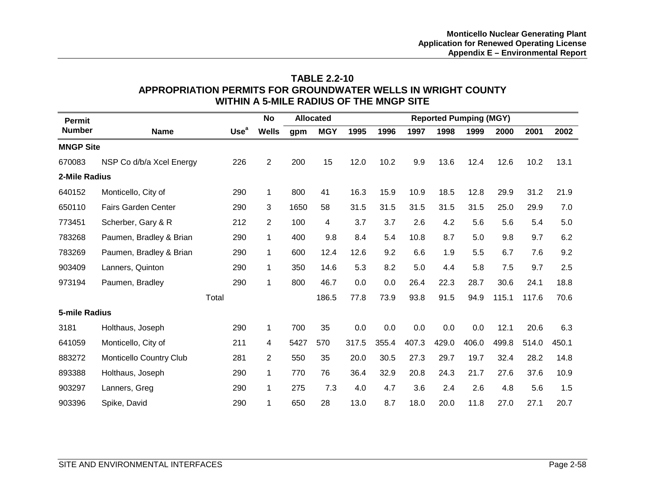# **TABLE 2.2-10 APPROPRIATION PERMITS FOR GROUNDWATER WELLS IN WRIGHT COUNTY WITHIN A 5-MILE RADIUS OF THE MNGP SITE**

| <b>Permit</b>    |                                |                  | No                      |      | <b>Allocated</b> |       |         |       |       | <b>Reported Pumping (MGY)</b> |       |       |       |
|------------------|--------------------------------|------------------|-------------------------|------|------------------|-------|---------|-------|-------|-------------------------------|-------|-------|-------|
| <b>Number</b>    | <b>Name</b>                    | Use <sup>a</sup> | <b>Wells</b>            | gpm  | <b>MGY</b>       | 1995  | 1996    | 1997  | 1998  | 1999                          | 2000  | 2001  | 2002  |
| <b>MNGP Site</b> |                                |                  |                         |      |                  |       |         |       |       |                               |       |       |       |
| 670083           | NSP Co d/b/a Xcel Energy       | 226              | $\overline{2}$          | 200  | 15               | 12.0  | 10.2    | 9.9   | 13.6  | 12.4                          | 12.6  | 10.2  | 13.1  |
| 2-Mile Radius    |                                |                  |                         |      |                  |       |         |       |       |                               |       |       |       |
| 640152           | Monticello, City of            | 290              | $\mathbf 1$             | 800  | 41               | 16.3  | 15.9    | 10.9  | 18.5  | 12.8                          | 29.9  | 31.2  | 21.9  |
| 650110           | <b>Fairs Garden Center</b>     | 290              | 3                       | 1650 | 58               | 31.5  | 31.5    | 31.5  | 31.5  | 31.5                          | 25.0  | 29.9  | 7.0   |
| 773451           | Scherber, Gary & R             | 212              | $\overline{2}$          | 100  | 4                | 3.7   | 3.7     | 2.6   | 4.2   | 5.6                           | 5.6   | 5.4   | 5.0   |
| 783268           | Paumen, Bradley & Brian        | 290              | $\mathbf 1$             | 400  | 9.8              | 8.4   | 5.4     | 10.8  | 8.7   | 5.0                           | 9.8   | 9.7   | 6.2   |
| 783269           | Paumen, Bradley & Brian        | 290              | $\mathbf 1$             | 600  | 12.4             | 12.6  | 9.2     | 6.6   | 1.9   | 5.5                           | 6.7   | 7.6   | 9.2   |
| 903409           | Lanners, Quinton               | 290              | $\mathbf{1}$            | 350  | 14.6             | 5.3   | 8.2     | 5.0   | 4.4   | 5.8                           | 7.5   | 9.7   | 2.5   |
| 973194           | Paumen, Bradley                | 290              | $\mathbf{1}$            | 800  | 46.7             | 0.0   | 0.0     | 26.4  | 22.3  | 28.7                          | 30.6  | 24.1  | 18.8  |
|                  |                                | Total            |                         |      | 186.5            | 77.8  | 73.9    | 93.8  | 91.5  | 94.9                          | 115.1 | 117.6 | 70.6  |
| 5-mile Radius    |                                |                  |                         |      |                  |       |         |       |       |                               |       |       |       |
| 3181             | Holthaus, Joseph               | 290              | $\mathbf{1}$            | 700  | 35               | 0.0   | $0.0\,$ | 0.0   | 0.0   | 0.0                           | 12.1  | 20.6  | 6.3   |
| 641059           | Monticello, City of            | 211              | $\overline{\mathbf{4}}$ | 5427 | 570              | 317.5 | 355.4   | 407.3 | 429.0 | 406.0                         | 499.8 | 514.0 | 450.1 |
| 883272           | <b>Monticello Country Club</b> | 281              | $\overline{2}$          | 550  | 35               | 20.0  | 30.5    | 27.3  | 29.7  | 19.7                          | 32.4  | 28.2  | 14.8  |
| 893388           | Holthaus, Joseph               | 290              | $\mathbf{1}$            | 770  | 76               | 36.4  | 32.9    | 20.8  | 24.3  | 21.7                          | 27.6  | 37.6  | 10.9  |
| 903297           | Lanners, Greg                  | 290              | 1                       | 275  | 7.3              | 4.0   | 4.7     | 3.6   | 2.4   | 2.6                           | 4.8   | 5.6   | 1.5   |
| 903396           | Spike, David                   | 290              | $\mathbf 1$             | 650  | 28               | 13.0  | 8.7     | 18.0  | 20.0  | 11.8                          | 27.0  | 27.1  | 20.7  |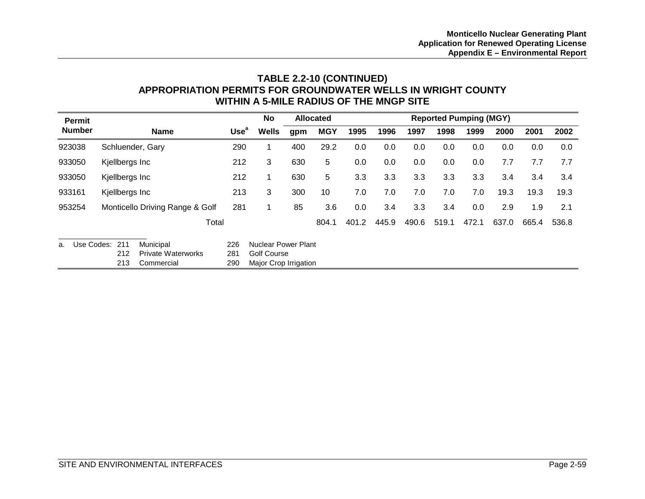# **TABLE 2.2-10 (CONTINUED) APPROPRIATION PERMITS FOR GROUNDWATER WELLS IN WRIGHT COUNTY WITHIN A 5-MILE RADIUS OF THE MNGP SITE**

| <b>Permit</b>    |                  |                                 |                  | No                         |     | <b>Allocated</b> |       |       |       |       | <b>Reported Pumping (MGY)</b> |       |       |       |
|------------------|------------------|---------------------------------|------------------|----------------------------|-----|------------------|-------|-------|-------|-------|-------------------------------|-------|-------|-------|
| <b>Number</b>    |                  | <b>Name</b>                     | Use <sup>a</sup> | <b>Wells</b>               | gpm | <b>MGY</b>       | 1995  | 1996  | 1997  | 1998  | 1999                          | 2000  | 2001  | 2002  |
| 923038           | Schluender, Gary |                                 | 290              | 1                          | 400 | 29.2             | 0.0   | 0.0   | 0.0   | 0.0   | 0.0                           | 0.0   | 0.0   | 0.0   |
| 933050           | Kjellbergs Inc   |                                 | 212              | 3                          | 630 | 5                | 0.0   | 0.0   | 0.0   | 0.0   | 0.0                           | 7.7   | 7.7   | 7.7   |
| 933050           | Kjellbergs Inc   |                                 | 212              | 1                          | 630 | 5                | 3.3   | 3.3   | 3.3   | 3.3   | 3.3                           | 3.4   | 3.4   | 3.4   |
| 933161           | Kjellbergs Inc   |                                 | 213              | 3                          | 300 | 10               | 7.0   | 7.0   | 7.0   | 7.0   | 7.0                           | 19.3  | 19.3  | 19.3  |
| 953254           |                  | Monticello Driving Range & Golf | 281              | 1                          | 85  | 3.6              | 0.0   | 3.4   | 3.3   | 3.4   | 0.0                           | 2.9   | 1.9   | 2.1   |
|                  |                  | Total                           |                  |                            |     | 804.1            | 401.2 | 445.9 | 490.6 | 519.1 | 472.1                         | 637.0 | 665.4 | 536.8 |
| Use Codes:<br>a. | 211              | Municipal                       | 226              | <b>Nuclear Power Plant</b> |     |                  |       |       |       |       |                               |       |       |       |
|                  | 212              | <b>Private Waterworks</b>       | 281              | <b>Golf Course</b>         |     |                  |       |       |       |       |                               |       |       |       |
|                  | 213              | Commercial                      | 290              | Major Crop Irrigation      |     |                  |       |       |       |       |                               |       |       |       |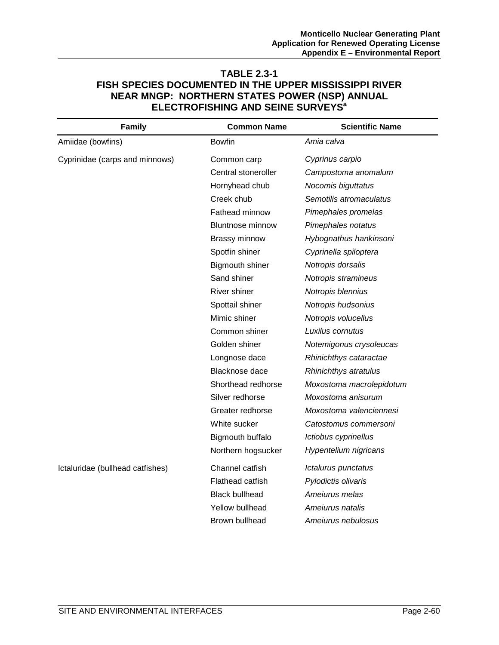# **TABLE 2.3-1 FISH SPECIES DOCUMENTED IN THE UPPER MISSISSIPPI RIVER NEAR MNGP: NORTHERN STATES POWER (NSP) ANNUAL ELECTROFISHING AND SEINE SURVEYS<sup>a</sup>**

| <b>Family</b>                    | <b>Common Name</b>      | <b>Scientific Name</b>   |
|----------------------------------|-------------------------|--------------------------|
| Amiidae (bowfins)                | <b>Bowfin</b>           | Amia calva               |
| Cyprinidae (carps and minnows)   | Common carp             | Cyprinus carpio          |
|                                  | Central stoneroller     | Campostoma anomalum      |
|                                  | Hornyhead chub          | Nocomis biguttatus       |
|                                  | Creek chub              | Semotilis atromaculatus  |
|                                  | Fathead minnow          | Pimephales promelas      |
|                                  | <b>Bluntnose minnow</b> | Pimephales notatus       |
|                                  | <b>Brassy minnow</b>    | Hybognathus hankinsoni   |
|                                  | Spotfin shiner          | Cyprinella spiloptera    |
|                                  | <b>Bigmouth shiner</b>  | Notropis dorsalis        |
|                                  | Sand shiner             | Notropis stramineus      |
|                                  | River shiner            | Notropis blennius        |
|                                  | Spottail shiner         | Notropis hudsonius       |
|                                  | Mimic shiner            | Notropis volucellus      |
|                                  | Common shiner           | Luxilus cornutus         |
|                                  | Golden shiner           | Notemigonus crysoleucas  |
|                                  | Longnose dace           | Rhinichthys cataractae   |
|                                  | Blacknose dace          | Rhinichthys atratulus    |
|                                  | Shorthead redhorse      | Moxostoma macrolepidotum |
|                                  | Silver redhorse         | Moxostoma anisurum       |
|                                  | Greater redhorse        | Moxostoma valenciennesi  |
|                                  | White sucker            | Catostomus commersoni    |
|                                  | Bigmouth buffalo        | Ictiobus cyprinellus     |
|                                  | Northern hogsucker      | Hypentelium nigricans    |
| Ictaluridae (bullhead catfishes) | Channel catfish         | Ictalurus punctatus      |
|                                  | Flathead catfish        | Pylodictis olivaris      |
|                                  | <b>Black bullhead</b>   | Ameiurus melas           |
|                                  | Yellow bullhead         | Ameiurus natalis         |
|                                  | Brown bullhead          | Ameiurus nebulosus       |
|                                  |                         |                          |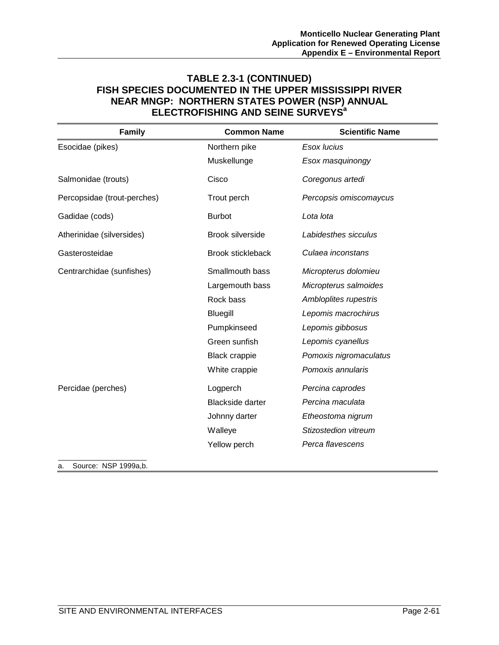# **TABLE 2.3-1 (CONTINUED) FISH SPECIES DOCUMENTED IN THE UPPER MISSISSIPPI RIVER NEAR MNGP: NORTHERN STATES POWER (NSP) ANNUAL ELECTROFISHING AND SEINE SURVEYS<sup>a</sup>**

| <b>Family</b>               | <b>Common Name</b>       | <b>Scientific Name</b> |
|-----------------------------|--------------------------|------------------------|
| Esocidae (pikes)            | Northern pike            | Esox lucius            |
|                             | Muskellunge              | Esox masquinongy       |
| Salmonidae (trouts)         | Cisco                    | Coregonus artedi       |
| Percopsidae (trout-perches) | Trout perch              | Percopsis omiscomaycus |
| Gadidae (cods)              | <b>Burbot</b>            | Lota lota              |
| Atherinidae (silversides)   | Brook silverside         | Labidesthes sicculus   |
| Gasterosteidae              | <b>Brook stickleback</b> | Culaea inconstans      |
| Centrarchidae (sunfishes)   | Smallmouth bass          | Micropterus dolomieu   |
|                             | Largemouth bass          | Micropterus salmoides  |
|                             | Rock bass                | Ambloplites rupestris  |
|                             | Bluegill                 | Lepomis macrochirus    |
|                             | Pumpkinseed              | Lepomis gibbosus       |
|                             | Green sunfish            | Lepomis cyanellus      |
|                             | <b>Black crappie</b>     | Pomoxis nigromaculatus |
|                             | White crappie            | Pomoxis annularis      |
| Percidae (perches)          | Logperch                 | Percina caprodes       |
|                             | <b>Blackside darter</b>  | Percina maculata       |
|                             | Johnny darter            | Etheostoma nigrum      |
|                             | Walleye                  | Stizostedion vitreum   |
|                             | Yellow perch             | Perca flavescens       |

a. Source: NSP 1999a,b.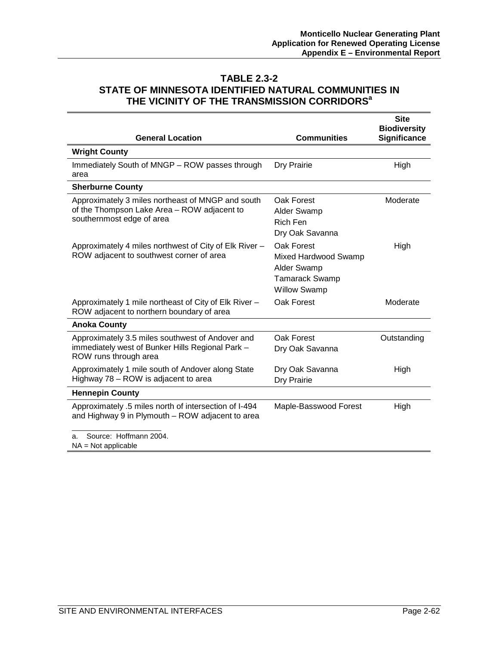### **TABLE 2.3-2 STATE OF MINNESOTA IDENTIFIED NATURAL COMMUNITIES IN THE VICINITY OF THE TRANSMISSION CORRIDORS<sup>a</sup>**

| <b>General Location</b>                                                                                                       | <b>Communities</b>                                                                                       | <b>Site</b><br><b>Biodiversity</b><br><b>Significance</b> |
|-------------------------------------------------------------------------------------------------------------------------------|----------------------------------------------------------------------------------------------------------|-----------------------------------------------------------|
| <b>Wright County</b>                                                                                                          |                                                                                                          |                                                           |
| Immediately South of MNGP - ROW passes through<br>area                                                                        | Dry Prairie                                                                                              | High                                                      |
| <b>Sherburne County</b>                                                                                                       |                                                                                                          |                                                           |
| Approximately 3 miles northeast of MNGP and south<br>of the Thompson Lake Area - ROW adjacent to<br>southernmost edge of area | Oak Forest<br><b>Alder Swamp</b><br><b>Rich Fen</b><br>Dry Oak Savanna                                   | Moderate                                                  |
| Approximately 4 miles northwest of City of Elk River -<br>ROW adjacent to southwest corner of area                            | Oak Forest<br>Mixed Hardwood Swamp<br><b>Alder Swamp</b><br><b>Tamarack Swamp</b><br><b>Willow Swamp</b> | High                                                      |
| Approximately 1 mile northeast of City of Elk River -<br>ROW adjacent to northern boundary of area                            | Oak Forest                                                                                               | Moderate                                                  |
| <b>Anoka County</b>                                                                                                           |                                                                                                          |                                                           |
| Approximately 3.5 miles southwest of Andover and<br>immediately west of Bunker Hills Regional Park -<br>ROW runs through area | Oak Forest<br>Dry Oak Savanna                                                                            | Outstanding                                               |
| Approximately 1 mile south of Andover along State<br>Highway 78 - ROW is adjacent to area                                     | Dry Oak Savanna<br>Dry Prairie                                                                           | High                                                      |
| <b>Hennepin County</b>                                                                                                        |                                                                                                          |                                                           |
| Approximately .5 miles north of intersection of I-494<br>and Highway 9 in Plymouth - ROW adjacent to area                     | Maple-Basswood Forest                                                                                    | High                                                      |
| Source: Hoffmann 2004.<br>a.<br>$NA = Not applicable$                                                                         |                                                                                                          |                                                           |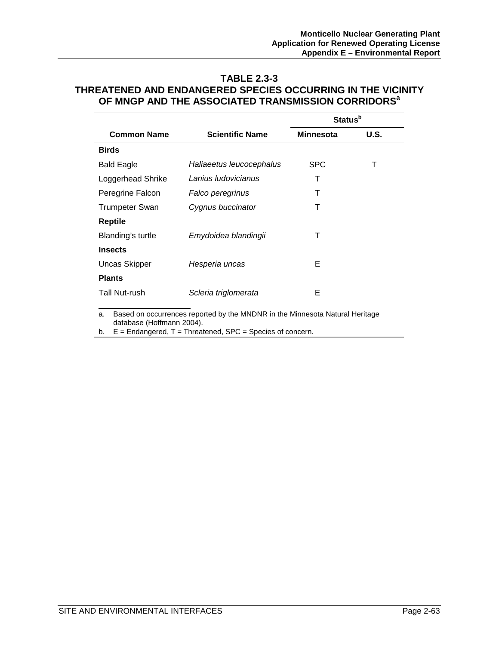### **TABLE 2.3-3 THREATENED AND ENDANGERED SPECIES OCCURRING IN THE VICINITY OF MNGP AND THE ASSOCIATED TRANSMISSION CORRIDORSa**

|                       |                          | Status <sup>b</sup> |      |
|-----------------------|--------------------------|---------------------|------|
| <b>Common Name</b>    | <b>Scientific Name</b>   | <b>Minnesota</b>    | U.S. |
| <b>Birds</b>          |                          |                     |      |
| <b>Bald Eagle</b>     | Haliaeetus leucocephalus | <b>SPC</b>          | т    |
| Loggerhead Shrike     | Lanius Iudovicianus      | Т                   |      |
| Peregrine Falcon      | Falco peregrinus         | т                   |      |
| <b>Trumpeter Swan</b> | Cygnus buccinator        | Т                   |      |
| <b>Reptile</b>        |                          |                     |      |
| Blanding's turtle     | Emydoidea blandingii     | т                   |      |
| <b>Insects</b>        |                          |                     |      |
| <b>Uncas Skipper</b>  | Hesperia uncas           | Е                   |      |
| <b>Plants</b>         |                          |                     |      |
| Tall Nut-rush         | Scleria triglomerata     | E                   |      |

a. Based on occurrences reported by the MNDNR in the Minnesota Natural Heritage database (Hoffmann 2004).

b.  $E =$  Endangered,  $T =$  Threatened, SPC = Species of concern.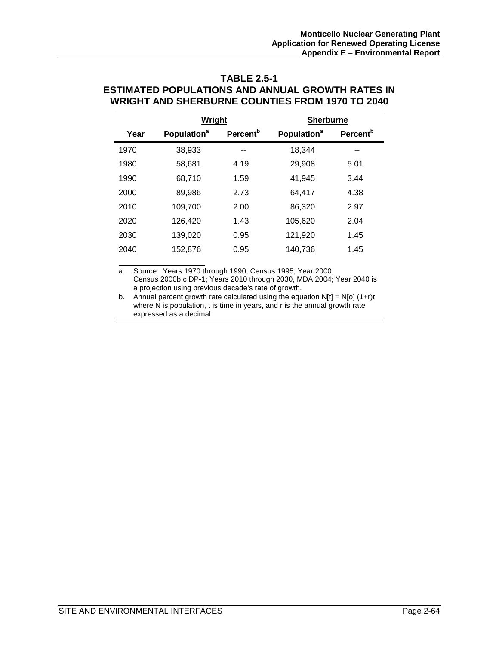# **TABLE 2.5-1 ESTIMATED POPULATIONS AND ANNUAL GROWTH RATES IN WRIGHT AND SHERBURNE COUNTIES FROM 1970 TO 2040**

|                         |                      | <b>Sherburne</b>        |                      |
|-------------------------|----------------------|-------------------------|----------------------|
| Population <sup>a</sup> | Percent <sup>b</sup> | Population <sup>a</sup> | Percent <sup>b</sup> |
| 38,933                  |                      | 18,344                  |                      |
| 58,681                  | 4.19                 | 29,908                  | 5.01                 |
| 68,710                  | 1.59                 | 41.945                  | 3.44                 |
| 89,986                  | 2.73                 | 64,417                  | 4.38                 |
| 109,700                 | 2.00                 | 86,320                  | 2.97                 |
| 126,420                 | 1.43                 | 105,620                 | 2.04                 |
| 139,020                 | 0.95                 | 121,920                 | 1.45                 |
| 152.876                 | 0.95                 | 140,736                 | 1.45                 |
|                         |                      | Wright                  |                      |

a. Source: Years 1970 through 1990, Census 1995; Year 2000, Census 2000b,c DP-1; Years 2010 through 2030, MDA 2004; Year 2040 is a projection using previous decade's rate of growth.

b. Annual percent growth rate calculated using the equation  $N[t] = N[0] (1+r)t$ where N is population, t is time in years, and r is the annual growth rate expressed as a decimal.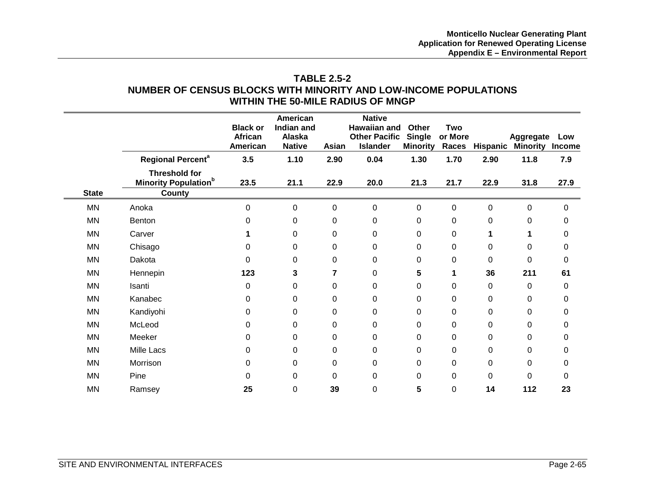# **TABLE 2.5-2 NUMBER OF CENSUS BLOCKS WITH MINORITY AND LOW-INCOME POPULATIONS WITHIN THE 50-MILE RADIUS OF MNGP**

|              |                                                                | <b>Black or</b><br>African<br>American | American<br>Indian and<br><b>Alaska</b><br><b>Native</b> | Asian       | <b>Native</b><br><b>Hawaiian and</b><br><b>Other Pacific</b><br><b>Islander</b> | Other<br><b>Single</b><br><b>Minority</b> | <b>Two</b><br>or More<br>Races | Hispanic    | <b>Aggregate</b><br><b>Minority</b> | Low<br><b>Income</b> |
|--------------|----------------------------------------------------------------|----------------------------------------|----------------------------------------------------------|-------------|---------------------------------------------------------------------------------|-------------------------------------------|--------------------------------|-------------|-------------------------------------|----------------------|
|              | <b>Regional Percent<sup>a</sup></b>                            | 3.5                                    | 1.10                                                     | 2.90        | 0.04                                                                            | 1.30                                      | 1.70                           | 2.90        | 11.8                                | 7.9                  |
| <b>State</b> | <b>Threshold for</b><br><b>Minority Population</b> b<br>County | 23.5                                   | 21.1                                                     | 22.9        | 20.0                                                                            | 21.3                                      | 21.7                           | 22.9        | 31.8                                | 27.9                 |
|              |                                                                |                                        |                                                          |             |                                                                                 |                                           |                                |             |                                     |                      |
| MN           | Anoka                                                          | 0                                      | 0                                                        | $\mathbf 0$ | $\mathbf 0$                                                                     | $\mathbf 0$                               | $\pmb{0}$                      | $\mathbf 0$ | $\mathbf 0$                         | 0                    |
| MN           | <b>Benton</b>                                                  | 0                                      | 0                                                        | 0           | $\mathbf 0$                                                                     | 0                                         | 0                              | $\Omega$    | 0                                   | 0                    |
| MN           | Carver                                                         |                                        | 0                                                        | $\Omega$    | $\mathbf 0$                                                                     | 0                                         | 0                              | 1           | 1                                   | 0                    |
| MN           | Chisago                                                        | 0                                      | 0                                                        | 0           | 0                                                                               | 0                                         | 0                              | $\Omega$    | 0                                   | 0                    |
| MN           | Dakota                                                         | 0                                      | 0                                                        | 0           | 0                                                                               | 0                                         | 0                              | $\Omega$    | $\pmb{0}$                           | 0                    |
| <b>MN</b>    | Hennepin                                                       | 123                                    | 3                                                        | 7           | $\mathbf 0$                                                                     | 5                                         | 1                              | 36          | 211                                 | 61                   |
| MN           | Isanti                                                         | 0                                      | 0                                                        | 0           | 0                                                                               | 0                                         | $\pmb{0}$                      | 0           | 0                                   | 0                    |
| MN           | Kanabec                                                        | 0                                      | 0                                                        | 0           | $\mathbf 0$                                                                     | $\mathbf 0$                               | $\pmb{0}$                      | 0           | $\mathbf 0$                         | 0                    |
| MN           | Kandiyohi                                                      | 0                                      | 0                                                        | $\mathbf 0$ | $\mathbf 0$                                                                     | $\mathbf 0$                               | $\mathbf 0$                    | 0           | $\mathbf 0$                         | 0                    |
| <b>MN</b>    | McLeod                                                         | 0                                      | 0                                                        | 0           | 0                                                                               | 0                                         | $\pmb{0}$                      | 0           | 0                                   | 0                    |
| MN           | Meeker                                                         | 0                                      | 0                                                        | 0           | 0                                                                               | 0                                         | 0                              | 0           | 0                                   | 0                    |
| MN           | Mille Lacs                                                     | 0                                      | 0                                                        | 0           | 0                                                                               | 0                                         | 0                              | 0           | $\mathbf 0$                         | 0                    |
| MN           | Morrison                                                       | 0                                      | 0                                                        | 0           | $\mathbf 0$                                                                     | 0                                         | 0                              | 0           | $\mathbf 0$                         | 0                    |
| MN           | Pine                                                           | 0                                      | 0                                                        | $\Omega$    | 0                                                                               | $\Omega$                                  | $\pmb{0}$                      | $\Omega$    | 0                                   | 0                    |
| MN           | Ramsey                                                         | 25                                     | 0                                                        | 39          | 0                                                                               | 5                                         | 0                              | 14          | 112                                 | 23                   |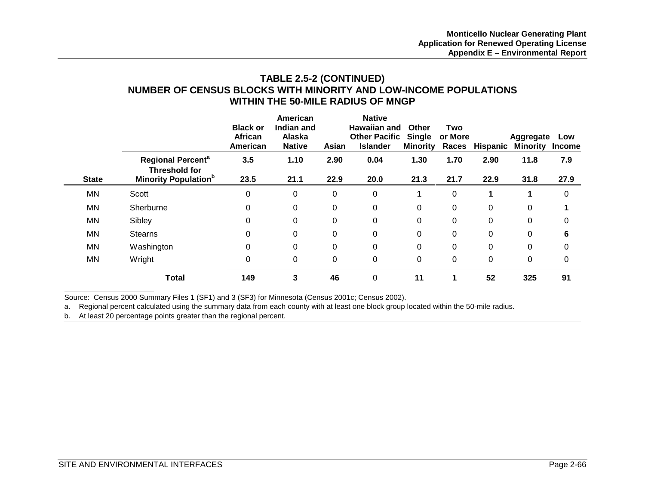# **TABLE 2.5-2 (CONTINUED) NUMBER OF CENSUS BLOCKS WITH MINORITY AND LOW-INCOME POPULATIONS WITHIN THE 50-MILE RADIUS OF MNGP**

|              |                                                                                                        | <b>Black or</b><br>African<br>American | American<br>Indian and<br>Alaska<br><b>Native</b> | Asian        | <b>Native</b><br>Hawaiian and<br><b>Other Pacific</b><br><b>Islander</b> | Other<br>Single<br><b>Minority</b> | Two<br>or More<br>Races | <b>Hispanic</b> | Aggregate<br><b>Minority</b> | Low<br><b>Income</b> |
|--------------|--------------------------------------------------------------------------------------------------------|----------------------------------------|---------------------------------------------------|--------------|--------------------------------------------------------------------------|------------------------------------|-------------------------|-----------------|------------------------------|----------------------|
| <b>State</b> | <b>Regional Percent<sup>a</sup></b><br><b>Threshold for</b><br><b>Minority Population</b> <sup>b</sup> | 3.5<br>23.5                            | 1.10<br>21.1                                      | 2.90<br>22.9 | 0.04<br>20.0                                                             | 1.30<br>21.3                       | 1.70<br>21.7            | 2.90<br>22.9    | 11.8<br>31.8                 | 7.9<br>27.9          |
| ΜN           | Scott                                                                                                  | $\mathbf 0$                            | 0                                                 | 0            | 0                                                                        |                                    | $\mathbf 0$             | 1               |                              | $\mathbf 0$          |
| ΜN           | Sherburne                                                                                              | 0                                      | 0                                                 | 0            | 0                                                                        | 0                                  | $\mathbf 0$             | 0               | 0                            |                      |
| ΜN           | Sibley                                                                                                 | 0                                      | $\Omega$                                          | 0            | $\Omega$                                                                 | 0                                  | 0                       | $\Omega$        | 0                            | 0                    |
| MN           | <b>Stearns</b>                                                                                         | 0                                      | 0                                                 | 0            | $\Omega$                                                                 | 0                                  | 0                       | $\Omega$        | 0                            | 6                    |
| ΜN           | Washington                                                                                             | 0                                      | 0                                                 | 0            | 0                                                                        | 0                                  | 0                       | $\Omega$        | 0                            | 0                    |
| ΜN           | Wright                                                                                                 | $\mathbf 0$                            | 0                                                 | 0            | 0                                                                        | 0                                  | $\mathbf 0$             | 0               | 0                            | 0                    |
|              | <b>Total</b>                                                                                           | 149                                    | 3                                                 | 46           | $\Omega$                                                                 | 11                                 | 1                       | 52              | 325                          | 91                   |

Source: Census 2000 Summary Files 1 (SF1) and 3 (SF3) for Minnesota (Census 2001c; Census 2002).

a. Regional percent calculated using the summary data from each county with at least one block group located within the 50-mile radius.

b. At least 20 percentage points greater than the regional percent.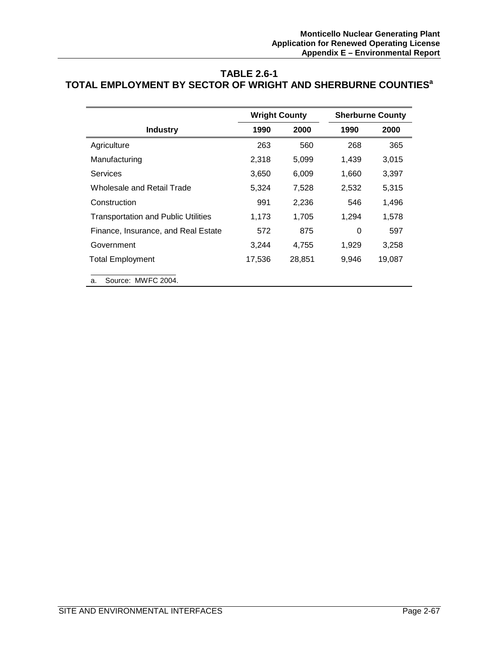# **TABLE 2.6-1 TOTAL EMPLOYMENT BY SECTOR OF WRIGHT AND SHERBURNE COUNTIESa**

|                                            | <b>Wright County</b> |        |       | <b>Sherburne County</b> |
|--------------------------------------------|----------------------|--------|-------|-------------------------|
| <b>Industry</b>                            | 1990                 | 2000   | 1990  | 2000                    |
| Agriculture                                | 263                  | 560    | 268   | 365                     |
| Manufacturing                              | 2,318                | 5,099  | 1,439 | 3,015                   |
| Services                                   | 3,650                | 6,009  | 1,660 | 3,397                   |
| Wholesale and Retail Trade                 | 5,324                | 7,528  | 2,532 | 5,315                   |
| Construction                               | 991                  | 2,236  | 546   | 1,496                   |
| <b>Transportation and Public Utilities</b> | 1,173                | 1,705  | 1,294 | 1,578                   |
| Finance, Insurance, and Real Estate        | 572                  | 875    | 0     | 597                     |
| Government                                 | 3,244                | 4,755  | 1,929 | 3,258                   |
| <b>Total Employment</b>                    | 17,536               | 28,851 | 9,946 | 19,087                  |
| Source: MWFC 2004.<br>a.                   |                      |        |       |                         |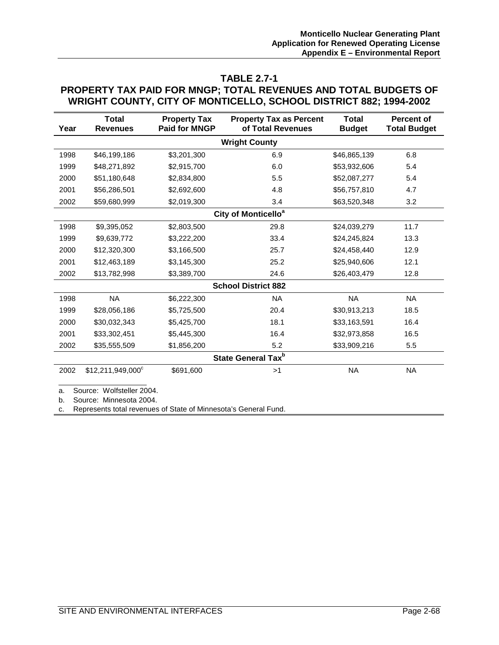#### **TABLE 2.7-1**

### **PROPERTY TAX PAID FOR MNGP; TOTAL REVENUES AND TOTAL BUDGETS OF WRIGHT COUNTY, CITY OF MONTICELLO, SCHOOL DISTRICT 882; 1994-2002**

| Year                 | <b>Total</b><br><b>Revenues</b>                      | <b>Property Tax</b><br><b>Paid for MNGP</b> | <b>Property Tax as Percent</b><br>of Total Revenues | <b>Total</b><br><b>Budget</b> | <b>Percent of</b><br><b>Total Budget</b> |  |
|----------------------|------------------------------------------------------|---------------------------------------------|-----------------------------------------------------|-------------------------------|------------------------------------------|--|
| <b>Wright County</b> |                                                      |                                             |                                                     |                               |                                          |  |
| 1998                 | \$46,199,186                                         | \$3,201,300                                 | 6.9                                                 | \$46,865,139                  | 6.8                                      |  |
| 1999                 | \$48,271,892                                         | \$2,915,700                                 | 6.0                                                 | \$53,932,606                  | 5.4                                      |  |
| 2000                 | \$51,180,648                                         | \$2,834,800                                 | 5.5                                                 | \$52,087,277                  | 5.4                                      |  |
| 2001                 | \$56,286,501                                         | \$2,692,600                                 | 4.8                                                 | \$56,757,810                  | 4.7                                      |  |
| 2002                 | \$59,680,999                                         | \$2,019,300                                 | 3.4                                                 | \$63,520,348                  | 3.2                                      |  |
|                      |                                                      |                                             | City of Monticello <sup>a</sup>                     |                               |                                          |  |
| 1998                 | \$9,395,052                                          | \$2,803,500                                 | 29.8                                                | \$24,039,279                  | 11.7                                     |  |
| 1999                 | \$9,639,772                                          | \$3,222,200                                 | 33.4                                                | \$24,245,824                  | 13.3                                     |  |
| 2000                 | \$12,320,300                                         | \$3,166,500                                 | 25.7                                                | \$24,458,440                  | 12.9                                     |  |
| 2001                 | \$12,463,189                                         | \$3,145,300                                 | 25.2                                                | \$25,940,606                  | 12.1                                     |  |
| 2002                 | \$13,782,998                                         | \$3,389,700                                 | 24.6                                                | \$26,403,479                  | 12.8                                     |  |
|                      |                                                      |                                             | <b>School District 882</b>                          |                               |                                          |  |
| 1998                 | <b>NA</b>                                            | \$6,222,300                                 | <b>NA</b>                                           | <b>NA</b>                     | <b>NA</b>                                |  |
| 1999                 | \$28,056,186                                         | \$5,725,500                                 | 20.4                                                | \$30,913,213                  | 18.5                                     |  |
| 2000                 | \$30,032,343                                         | \$5,425,700                                 | 18.1                                                | \$33,163,591                  | 16.4                                     |  |
| 2001                 | \$33,302,451                                         | \$5,445,300                                 | 16.4                                                | \$32,973,858                  | 16.5                                     |  |
| 2002                 | \$35,555,509                                         | \$1,856,200                                 | 5.2                                                 | \$33,909,216                  | 5.5                                      |  |
|                      |                                                      |                                             | State General Tax <sup>b</sup>                      |                               |                                          |  |
| 2002                 | $$12,211,949,000$ <sup>c</sup>                       | \$691,600                                   | >1                                                  | <b>NA</b>                     | <b>NA</b>                                |  |
| a.<br>b.             | Source: Wolfsteller 2004.<br>Source: Minnesota 2004. |                                             |                                                     |                               |                                          |  |

c. Represents total revenues of State of Minnesota's General Fund.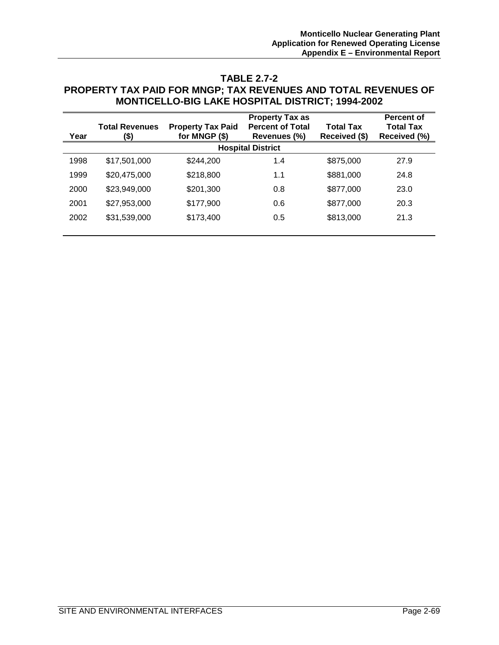#### **TABLE 2.7-2**

#### **PROPERTY TAX PAID FOR MNGP; TAX REVENUES AND TOTAL REVENUES OF MONTICELLO-BIG LAKE HOSPITAL DISTRICT; 1994-2002**

|      |                       |                          | <b>Property Tax as</b>   |                  | <b>Percent of</b> |
|------|-----------------------|--------------------------|--------------------------|------------------|-------------------|
|      | <b>Total Revenues</b> | <b>Property Tax Paid</b> | <b>Percent of Total</b>  | <b>Total Tax</b> | <b>Total Tax</b>  |
| Year | (\$)                  | for MNGP (\$)            | Revenues (%)             | Received (\$)    | Received (%)      |
|      |                       |                          | <b>Hospital District</b> |                  |                   |
| 1998 | \$17,501,000          | \$244,200                | 1.4                      | \$875,000        | 27.9              |
| 1999 | \$20,475,000          | \$218,800                | 1.1                      | \$881,000        | 24.8              |
| 2000 | \$23,949,000          | \$201,300                | 0.8                      | \$877,000        | 23.0              |
| 2001 | \$27,953,000          | \$177,900                | 0.6                      | \$877,000        | 20.3              |
| 2002 | \$31,539,000          | \$173,400                | 0.5                      | \$813,000        | 21.3              |
|      |                       |                          |                          |                  |                   |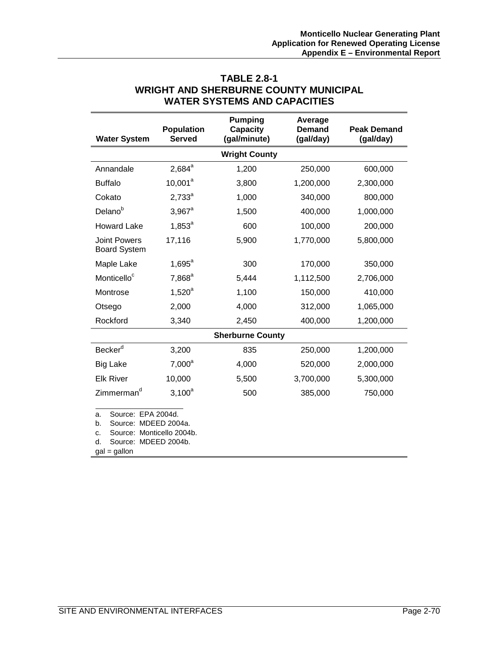|                                                                                                                                           | <b>Population</b> | <b>Pumping</b><br><b>Capacity</b> | Average<br>Demand | <b>Peak Demand</b> |
|-------------------------------------------------------------------------------------------------------------------------------------------|-------------------|-----------------------------------|-------------------|--------------------|
| <b>Water System</b>                                                                                                                       | <b>Served</b>     | (gal/minute)                      | (gal/day)         | (gal/day)          |
|                                                                                                                                           |                   | <b>Wright County</b>              |                   |                    |
| Annandale                                                                                                                                 | $2,684^a$         | 1,200                             | 250,000           | 600,000            |
| <b>Buffalo</b>                                                                                                                            | $10,001^a$        | 3,800                             | 1,200,000         | 2,300,000          |
| Cokato                                                                                                                                    | $2,733^a$         | 1,000                             | 340,000           | 800,000            |
| Delano <sup>b</sup>                                                                                                                       | $3,967^a$         | 1,500                             | 400,000           | 1,000,000          |
| <b>Howard Lake</b>                                                                                                                        | $1,853^a$         | 600                               | 100,000           | 200,000            |
| <b>Joint Powers</b><br><b>Board System</b>                                                                                                | 17,116            | 5,900                             | 1,770,000         | 5,800,000          |
| Maple Lake                                                                                                                                | $1,695^{\circ}$   | 300                               | 170,000           | 350,000            |
| Monticello <sup>c</sup>                                                                                                                   | $7,868^a$         | 5,444                             | 1,112,500         | 2,706,000          |
| Montrose                                                                                                                                  | $1,520^a$         | 1,100                             | 150,000           | 410,000            |
| Otsego                                                                                                                                    | 2,000             | 4,000                             | 312,000           | 1,065,000          |
| Rockford                                                                                                                                  | 3,340             | 2,450                             | 400,000           | 1,200,000          |
|                                                                                                                                           |                   | <b>Sherburne County</b>           |                   |                    |
| Becker <sup>d</sup>                                                                                                                       | 3,200             | 835                               | 250,000           | 1,200,000          |
| <b>Big Lake</b>                                                                                                                           | $7,000^a$         | 4,000                             | 520,000           | 2,000,000          |
| <b>Elk River</b>                                                                                                                          | 10,000            | 5,500                             | 3,700,000         | 5,300,000          |
| Zimmerman <sup>d</sup>                                                                                                                    | $3,100^a$         | 500                               | 385,000           | 750,000            |
| Source: EPA 2004d.<br>a.<br>Source: MDEED 2004a.<br>b.<br>Source: Monticello 2004b.<br>c.<br>Source: MDEED 2004b.<br>d.<br>$gal = gallon$ |                   |                                   |                   |                    |

# **TABLE 2.8-1 WRIGHT AND SHERBURNE COUNTY MUNICIPAL WATER SYSTEMS AND CAPACITIES**

SITE AND ENVIRONMENTAL INTERFACES Page 2-70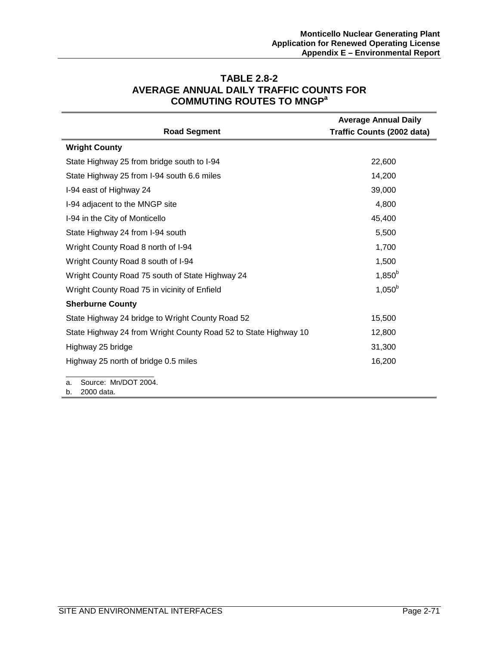| <b>Road Segment</b>                                             | <b>Average Annual Daily</b><br>Traffic Counts (2002 data) |  |
|-----------------------------------------------------------------|-----------------------------------------------------------|--|
| <b>Wright County</b>                                            |                                                           |  |
| State Highway 25 from bridge south to I-94                      | 22,600                                                    |  |
| State Highway 25 from I-94 south 6.6 miles                      | 14,200                                                    |  |
| I-94 east of Highway 24                                         | 39,000                                                    |  |
| I-94 adjacent to the MNGP site                                  | 4,800                                                     |  |
| I-94 in the City of Monticello                                  | 45,400                                                    |  |
| State Highway 24 from I-94 south                                | 5,500                                                     |  |
| Wright County Road 8 north of I-94                              | 1,700                                                     |  |
| Wright County Road 8 south of I-94                              | 1,500                                                     |  |
| Wright County Road 75 south of State Highway 24                 | $1,850^{b}$                                               |  |
| Wright County Road 75 in vicinity of Enfield                    | $1,050^b$                                                 |  |
| <b>Sherburne County</b>                                         |                                                           |  |
| State Highway 24 bridge to Wright County Road 52                | 15,500                                                    |  |
| State Highway 24 from Wright County Road 52 to State Highway 10 | 12,800                                                    |  |
| Highway 25 bridge                                               | 31,300                                                    |  |
| Highway 25 north of bridge 0.5 miles                            | 16,200                                                    |  |
| Source: Mn/DOT 2004.<br>a.                                      |                                                           |  |

# **TABLE 2.8-2 AVERAGE ANNUAL DAILY TRAFFIC COUNTS FOR COMMUTING ROUTES TO MNGPa**

b. 2000 data.